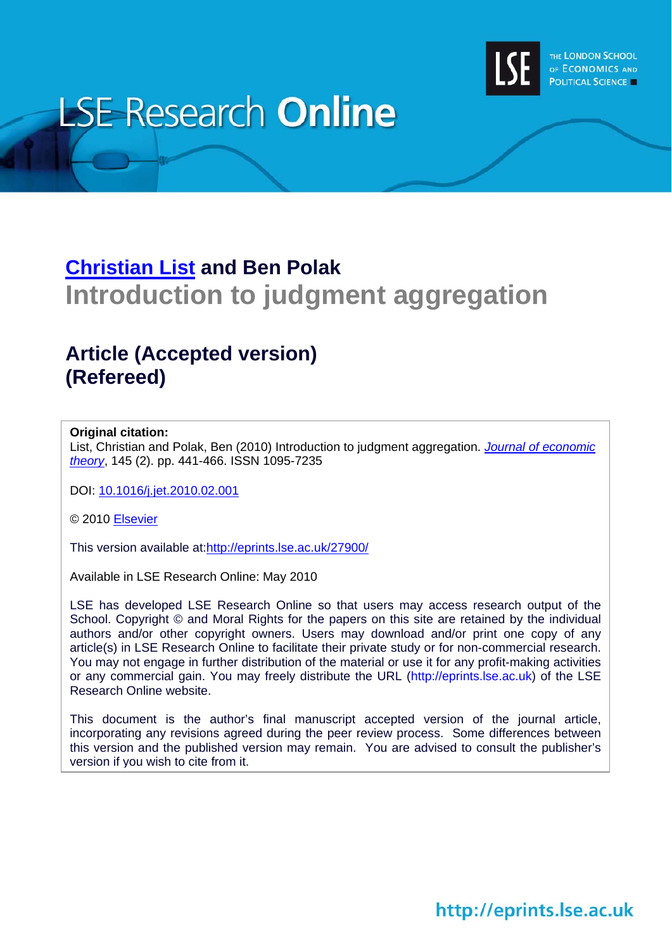

# **LSE Research Online**

# **[Christian List](http://www2.lse.ac.uk/researchAndExpertise/Experts/c.list@lse.ac.uk) and Ben Polak Introduction to judgment aggregation**

# **Article (Accepted version) (Refereed)**

### **Original citation:**

List, Christian and Polak, Ben (2010) Introduction to judgment aggregation. *[Journal of economic](http://www.elsevier.com/locate/jet/)  [theory](http://www.elsevier.com/locate/jet/)*, 145 (2). pp. 441-466. ISSN 1095-7235

DOI: [10.1016/j.jet.2010.02.001](http://dx.doi.org/10.1016/j.jet.2010.02.001) 

© 2010 [Elsevier](http://www.elsevier.com/)

This version available at:<http://eprints.lse.ac.uk/27900/>

Available in LSE Research Online: May 2010

LSE has developed LSE Research Online so that users may access research output of the School. Copyright © and Moral Rights for the papers on this site are retained by the individual authors and/or other copyright owners. Users may download and/or print one copy of any article(s) in LSE Research Online to facilitate their private study or for non-commercial research. You may not engage in further distribution of the material or use it for any profit-making activities or any commercial gain. You may freely distribute the URL (http://eprints.lse.ac.uk) of the LSE Research Online website.

This document is the author's final manuscript accepted version of the journal article, incorporating any revisions agreed during the peer review process. Some differences between this version and the published version may remain. You are advised to consult the publisher's version if you wish to cite from it.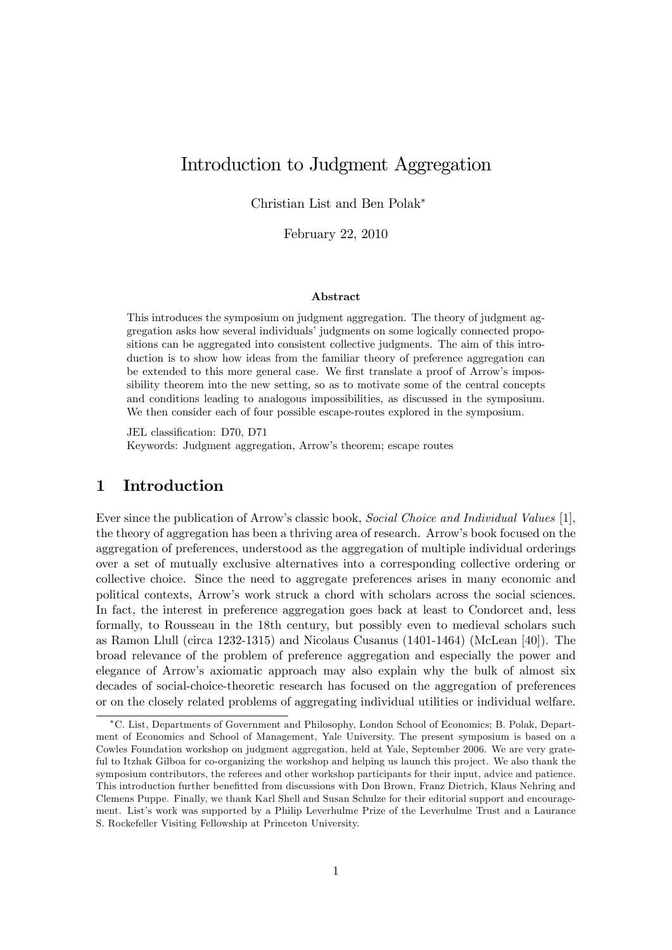# Introduction to Judgment Aggregation

Christian List and Ben Polak

February 22, 2010

#### Abstract

This introduces the symposium on judgment aggregation. The theory of judgment aggregation asks how several individuals' judgments on some logically connected propositions can be aggregated into consistent collective judgments. The aim of this introduction is to show how ideas from the familiar theory of preference aggregation can be extended to this more general case. We first translate a proof of Arrow's impossibility theorem into the new setting, so as to motivate some of the central concepts and conditions leading to analogous impossibilities, as discussed in the symposium. We then consider each of four possible escape-routes explored in the symposium.

JEL classification: D70, D71 Keywords: Judgment aggregation, Arrow's theorem; escape routes

# 1 Introduction

Ever since the publication of Arrow's classic book, Social Choice and Individual Values [1], the theory of aggregation has been a thriving area of research. Arrowís book focused on the aggregation of preferences, understood as the aggregation of multiple individual orderings over a set of mutually exclusive alternatives into a corresponding collective ordering or collective choice. Since the need to aggregate preferences arises in many economic and political contexts, Arrowís work struck a chord with scholars across the social sciences. In fact, the interest in preference aggregation goes back at least to Condorcet and, less formally, to Rousseau in the 18th century, but possibly even to medieval scholars such as Ramon Llull (circa 1232-1315) and Nicolaus Cusanus (1401-1464) (McLean [40]). The broad relevance of the problem of preference aggregation and especially the power and elegance of Arrowís axiomatic approach may also explain why the bulk of almost six decades of social-choice-theoretic research has focused on the aggregation of preferences or on the closely related problems of aggregating individual utilities or individual welfare.

C. List, Departments of Government and Philosophy, London School of Economics; B. Polak, Department of Economics and School of Management, Yale University. The present symposium is based on a Cowles Foundation workshop on judgment aggregation, held at Yale, September 2006. We are very grateful to Itzhak Gilboa for co-organizing the workshop and helping us launch this project. We also thank the symposium contributors, the referees and other workshop participants for their input, advice and patience. This introduction further benefitted from discussions with Don Brown, Franz Dietrich, Klaus Nehring and Clemens Puppe. Finally, we thank Karl Shell and Susan Schulze for their editorial support and encouragement. List's work was supported by a Philip Leverhulme Prize of the Leverhulme Trust and a Laurance S. Rockefeller Visiting Fellowship at Princeton University.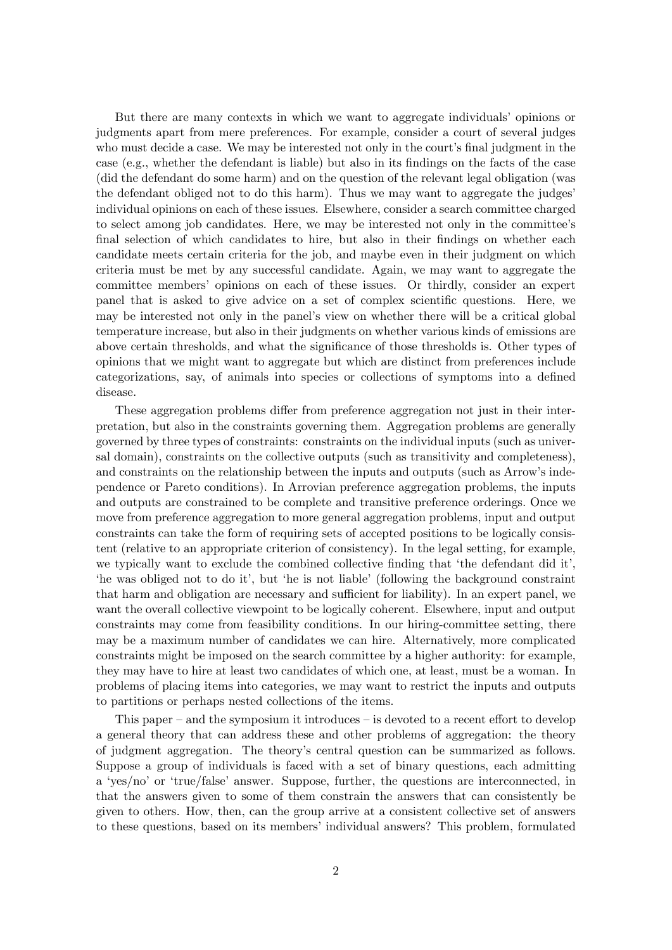But there are many contexts in which we want to aggregate individuals' opinions or judgments apart from mere preferences. For example, consider a court of several judges who must decide a case. We may be interested not only in the court's final judgment in the case (e.g., whether the defendant is liable) but also in its findings on the facts of the case (did the defendant do some harm) and on the question of the relevant legal obligation (was the defendant obliged not to do this harm). Thus we may want to aggregate the judges' individual opinions on each of these issues. Elsewhere, consider a search committee charged to select among job candidates. Here, we may be interested not only in the committee's final selection of which candidates to hire, but also in their findings on whether each candidate meets certain criteria for the job, and maybe even in their judgment on which criteria must be met by any successful candidate. Again, we may want to aggregate the committee membersí opinions on each of these issues. Or thirdly, consider an expert panel that is asked to give advice on a set of complex scientific questions. Here, we may be interested not only in the panelís view on whether there will be a critical global temperature increase, but also in their judgments on whether various kinds of emissions are above certain thresholds, and what the significance of those thresholds is. Other types of opinions that we might want to aggregate but which are distinct from preferences include categorizations, say, of animals into species or collections of symptoms into a defined disease.

These aggregation problems differ from preference aggregation not just in their interpretation, but also in the constraints governing them. Aggregation problems are generally governed by three types of constraints: constraints on the individual inputs (such as universal domain), constraints on the collective outputs (such as transitivity and completeness), and constraints on the relationship between the inputs and outputs (such as Arrow's independence or Pareto conditions). In Arrovian preference aggregation problems, the inputs and outputs are constrained to be complete and transitive preference orderings. Once we move from preference aggregation to more general aggregation problems, input and output constraints can take the form of requiring sets of accepted positions to be logically consistent (relative to an appropriate criterion of consistency). In the legal setting, for example, we typically want to exclude the combined collective finding that 'the defendant did it'. the was obliged not to do it', but 'he is not liable' (following the background constraint that harm and obligation are necessary and sufficient for liability). In an expert panel, we want the overall collective viewpoint to be logically coherent. Elsewhere, input and output constraints may come from feasibility conditions. In our hiring-committee setting, there may be a maximum number of candidates we can hire. Alternatively, more complicated constraints might be imposed on the search committee by a higher authority: for example, they may have to hire at least two candidates of which one, at least, must be a woman. In problems of placing items into categories, we may want to restrict the inputs and outputs to partitions or perhaps nested collections of the items.

This paper  $-$  and the symposium it introduces  $-$  is devoted to a recent effort to develop a general theory that can address these and other problems of aggregation: the theory of judgment aggregation. The theoryís central question can be summarized as follows. Suppose a group of individuals is faced with a set of binary questions, each admitting a 'yes/no' or 'true/false' answer. Suppose, further, the questions are interconnected, in that the answers given to some of them constrain the answers that can consistently be given to others. How, then, can the group arrive at a consistent collective set of answers to these questions, based on its members' individual answers? This problem, formulated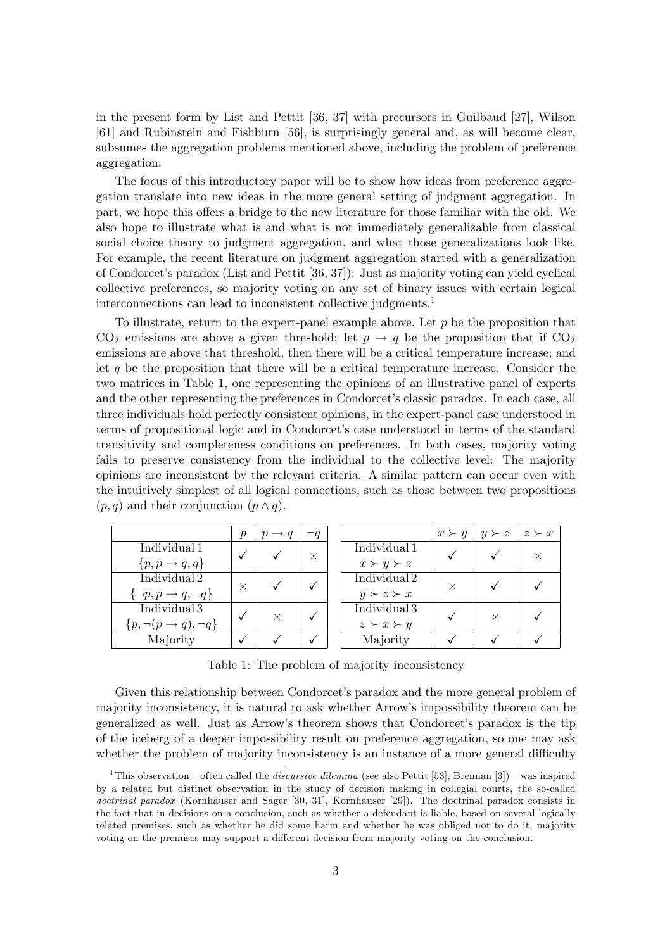in the present form by List and Pettit [36, 37] with precursors in Guilbaud [27], Wilson [61] and Rubinstein and Fishburn [56], is surprisingly general and, as will become clear, subsumes the aggregation problems mentioned above, including the problem of preference aggregation.

The focus of this introductory paper will be to show how ideas from preference aggregation translate into new ideas in the more general setting of judgment aggregation. In part, we hope this offers a bridge to the new literature for those familiar with the old. We also hope to illustrate what is and what is not immediately generalizable from classical social choice theory to judgment aggregation, and what those generalizations look like. For example, the recent literature on judgment aggregation started with a generalization of Condorcetís paradox (List and Pettit [36, 37]): Just as majority voting can yield cyclical collective preferences, so majority voting on any set of binary issues with certain logical interconnections can lead to inconsistent collective judgments.<sup>1</sup>

To illustrate, return to the expert-panel example above. Let  $p$  be the proposition that  $CO<sub>2</sub>$  emissions are above a given threshold; let  $p \rightarrow q$  be the proposition that if  $CO<sub>2</sub>$ emissions are above that threshold, then there will be a critical temperature increase; and let  $q$  be the proposition that there will be a critical temperature increase. Consider the two matrices in Table 1, one representing the opinions of an illustrative panel of experts and the other representing the preferences in Condorcet's classic paradox. In each case, all three individuals hold perfectly consistent opinions, in the expert-panel case understood in terms of propositional logic and in Condorcet's case understood in terms of the standard transitivity and completeness conditions on preferences. In both cases, majority voting fails to preserve consistency from the individual to the collective level: The majority opinions are inconsistent by the relevant criteria. A similar pattern can occur even with the intuitively simplest of all logical connections, such as those between two propositions  $(p, q)$  and their conjunction  $(p \wedge q)$ .

|                                        | $\boldsymbol{p}$ | $p \rightarrow q$ | $\neg q$ |                     | $x \succ y$ | $y \succ z$ | $z \succ x$ |
|----------------------------------------|------------------|-------------------|----------|---------------------|-------------|-------------|-------------|
| Individual 1                           |                  |                   |          | Individual 1        |             |             |             |
| $\{p, p \rightarrow q, q\}$            |                  |                   | $\times$ | $x \succ y \succ z$ |             |             |             |
| Individual 2                           |                  |                   |          | Individual 2        |             |             |             |
| $\{\neg p, p \rightarrow q, \neg q\}$  | $\times$         |                   |          | $y \succ z \succ x$ | $\times$    |             |             |
| Individual 3                           |                  |                   |          | Individual 3        |             |             |             |
| $\{p, \neg(p \rightarrow q), \neg q\}$ |                  |                   |          | $z \succ x \succ y$ |             |             |             |
| Majority                               |                  |                   |          | Majority            |             |             |             |

Table 1: The problem of majority inconsistency

Given this relationship between Condorcet's paradox and the more general problem of majority inconsistency, it is natural to ask whether Arrowís impossibility theorem can be generalized as well. Just as Arrow's theorem shows that Condorcet's paradox is the tip of the iceberg of a deeper impossibility result on preference aggregation, so one may ask whether the problem of majority inconsistency is an instance of a more general difficulty

<sup>&</sup>lt;sup>1</sup>This observation – often called the *discursive dilemma* (see also Pettit [53], Brennan [3]) – was inspired by a related but distinct observation in the study of decision making in collegial courts, the so-called doctrinal paradox (Kornhauser and Sager [30, 31], Kornhauser [29]). The doctrinal paradox consists in the fact that in decisions on a conclusion, such as whether a defendant is liable, based on several logically related premises, such as whether he did some harm and whether he was obliged not to do it, majority voting on the premises may support a different decision from majority voting on the conclusion.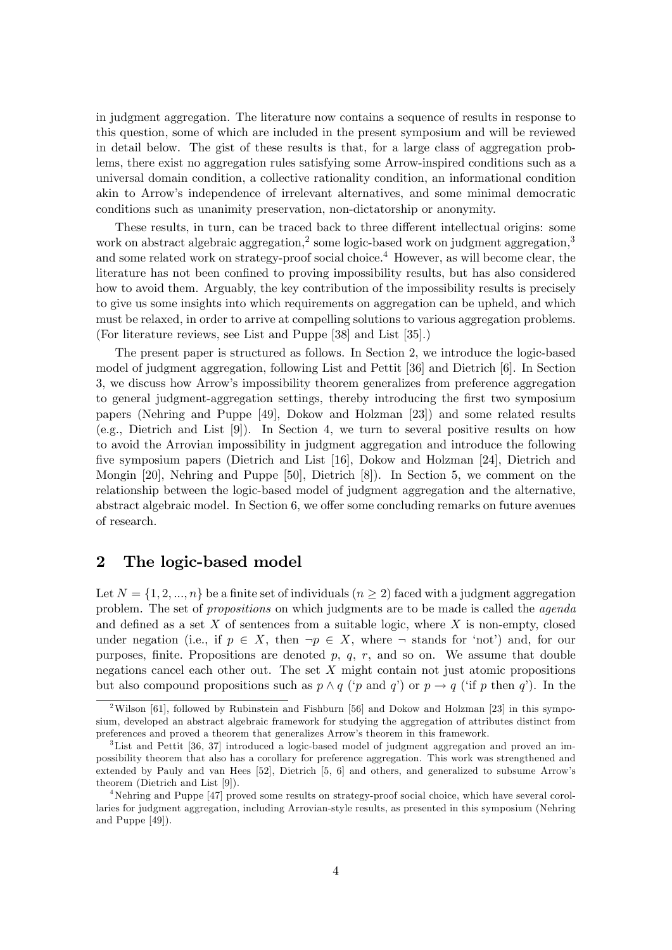in judgment aggregation. The literature now contains a sequence of results in response to this question, some of which are included in the present symposium and will be reviewed in detail below. The gist of these results is that, for a large class of aggregation problems, there exist no aggregation rules satisfying some Arrow-inspired conditions such as a universal domain condition, a collective rationality condition, an informational condition akin to Arrowís independence of irrelevant alternatives, and some minimal democratic conditions such as unanimity preservation, non-dictatorship or anonymity.

These results, in turn, can be traced back to three different intellectual origins: some work on abstract algebraic aggregation,<sup>2</sup> some logic-based work on judgment aggregation,<sup>3</sup> and some related work on strategy-proof social choice.<sup>4</sup> However, as will become clear, the literature has not been confined to proving impossibility results, but has also considered how to avoid them. Arguably, the key contribution of the impossibility results is precisely to give us some insights into which requirements on aggregation can be upheld, and which must be relaxed, in order to arrive at compelling solutions to various aggregation problems. (For literature reviews, see List and Puppe [38] and List [35].)

The present paper is structured as follows. In Section 2, we introduce the logic-based model of judgment aggregation, following List and Pettit [36] and Dietrich [6]. In Section 3, we discuss how Arrowís impossibility theorem generalizes from preference aggregation to general judgment-aggregation settings, thereby introducing the first two symposium papers (Nehring and Puppe [49], Dokow and Holzman [23]) and some related results (e.g., Dietrich and List [9]). In Section 4, we turn to several positive results on how to avoid the Arrovian impossibility in judgment aggregation and introduce the following five symposium papers (Dietrich and List [16], Dokow and Holzman [24], Dietrich and Mongin [20], Nehring and Puppe [50], Dietrich [8]). In Section 5, we comment on the relationship between the logic-based model of judgment aggregation and the alternative, abstract algebraic model. In Section 6, we offer some concluding remarks on future avenues of research.

# 2 The logic-based model

Let  $N = \{1, 2, ..., n\}$  be a finite set of individuals  $(n \geq 2)$  faced with a judgment aggregation problem. The set of propositions on which judgments are to be made is called the agenda and defined as a set  $X$  of sentences from a suitable logic, where  $X$  is non-empty, closed under negation (i.e., if  $p \in X$ , then  $\neg p \in X$ , where  $\neg$  stands for 'not') and, for our purposes, finite. Propositions are denoted  $p, q, r$ , and so on. We assume that double negations cancel each other out. The set X might contain not just atomic propositions but also compound propositions such as  $p \wedge q$  ('p and q') or  $p \rightarrow q$  ('if p then q'). In the

<sup>&</sup>lt;sup>2</sup>Wilson [61], followed by Rubinstein and Fishburn [56] and Dokow and Holzman [23] in this symposium, developed an abstract algebraic framework for studying the aggregation of attributes distinct from preferences and proved a theorem that generalizes Arrowís theorem in this framework.

<sup>3</sup>List and Pettit [36, 37] introduced a logic-based model of judgment aggregation and proved an impossibility theorem that also has a corollary for preference aggregation. This work was strengthened and extended by Pauly and van Hees [52], Dietrich [5, 6] and others, and generalized to subsume Arrowís theorem (Dietrich and List [9]).

<sup>4</sup>Nehring and Puppe [47] proved some results on strategy-proof social choice, which have several corollaries for judgment aggregation, including Arrovian-style results, as presented in this symposium (Nehring and Puppe [49]).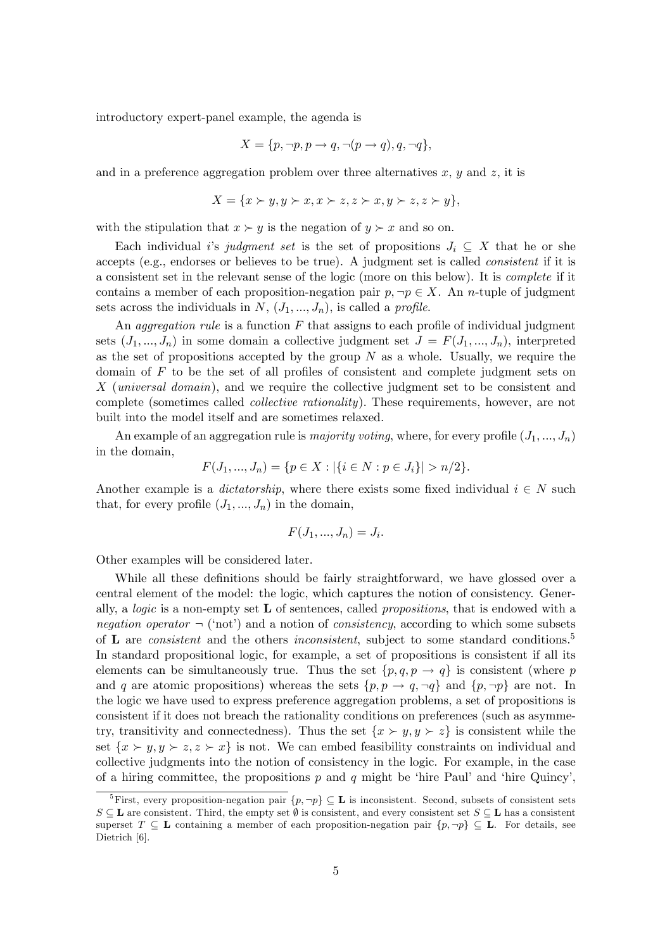introductory expert-panel example, the agenda is

$$
X = \{p, \neg p, p \rightarrow q, \neg (p \rightarrow q), q, \neg q\},\
$$

and in a preference aggregation problem over three alternatives  $x, y$  and  $z$ , it is

$$
X = \{x \succ y, y \succ x, x \succ z, z \succ x, y \succ z, z \succ y\},\
$$

with the stipulation that  $x \succ y$  is the negation of  $y \succ x$  and so on.

Each individual is judgment set is the set of propositions  $J_i \subseteq X$  that he or she accepts (e.g., endorses or believes to be true). A judgment set is called consistent if it is a consistent set in the relevant sense of the logic (more on this below). It is complete if it contains a member of each proposition-negation pair  $p, \neg p \in X$ . An n-tuple of judgment sets across the individuals in  $N, (J_1, ..., J_n)$ , is called a *profile*.

An aggregation rule is a function  $F$  that assigns to each profile of individual judgment sets  $(J_1, ..., J_n)$  in some domain a collective judgment set  $J = F(J_1, ..., J_n)$ , interpreted as the set of propositions accepted by the group  $N$  as a whole. Usually, we require the domain of  $F$  to be the set of all profiles of consistent and complete judgment sets on X (universal domain), and we require the collective judgment set to be consistent and complete (sometimes called *collective rationality*). These requirements, however, are not built into the model itself and are sometimes relaxed.

An example of an aggregation rule is *majority voting*, where, for every profile  $(J_1, ..., J_n)$ in the domain,

$$
F(J_1, ..., J_n) = \{ p \in X : |\{ i \in N : p \in J_i \}| > n/2 \}.
$$

Another example is a *dictatorship*, where there exists some fixed individual  $i \in N$  such that, for every profile  $(J_1, ..., J_n)$  in the domain,

$$
F(J_1, ..., J_n) = J_i.
$$

Other examples will be considered later.

While all these definitions should be fairly straightforward, we have glossed over a central element of the model: the logic, which captures the notion of consistency. Generally, a *logic* is a non-empty set  $\bf{L}$  of sentences, called *propositions*, that is endowed with a negation operator  $\lnot$  (not) and a notion of consistency, according to which some subsets of  $L$  are *consistent* and the others *inconsistent*, subject to some standard conditions.<sup>5</sup> In standard propositional logic, for example, a set of propositions is consistent if all its elements can be simultaneously true. Thus the set  $\{p, q, p \rightarrow q\}$  is consistent (where p and q are atomic propositions) whereas the sets  $\{p, p \rightarrow q, \neg q\}$  and  $\{p, \neg p\}$  are not. In the logic we have used to express preference aggregation problems, a set of propositions is consistent if it does not breach the rationality conditions on preferences (such as asymmetry, transitivity and connectedness). Thus the set  $\{x \succ y, y \succ z\}$  is consistent while the set  $\{x \succ y, y \succ z, z \succ x\}$  is not. We can embed feasibility constraints on individual and collective judgments into the notion of consistency in the logic. For example, in the case of a hiring committee, the propositions p and q might be 'hire Paul' and 'hire Quincy',

<sup>&</sup>lt;sup>5</sup>First, every proposition-negation pair  $\{p, \neg p\} \subseteq L$  is inconsistent. Second, subsets of consistent sets  $S \subseteq L$  are consistent. Third, the empty set  $\emptyset$  is consistent, and every consistent set  $S \subseteq L$  has a consistent superset  $T \subseteq L$  containing a member of each proposition-negation pair  $\{p, \neg p\} \subseteq L$ . For details, see Dietrich [6].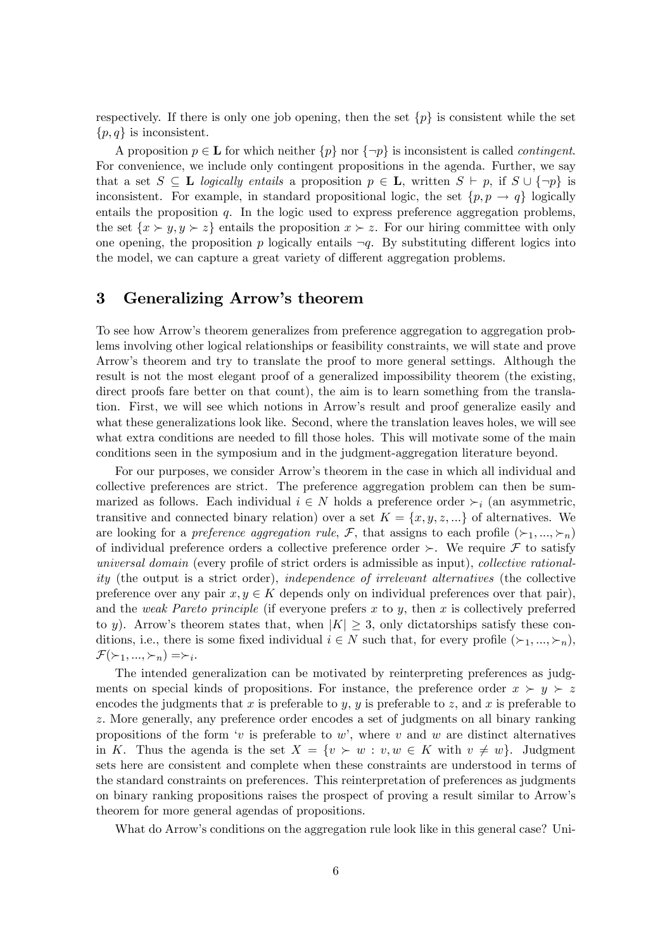respectively. If there is only one job opening, then the set  $\{p\}$  is consistent while the set  $\{p,q\}$  is inconsistent.

A proposition  $p \in L$  for which neither  $\{p\}$  nor  $\{\neg p\}$  is inconsistent is called *contingent*. For convenience, we include only contingent propositions in the agenda. Further, we say that a set  $S \subseteq L$  logically entails a proposition  $p \in L$ , written  $S \vdash p$ , if  $S \cup \{\neg p\}$  is inconsistent. For example, in standard propositional logic, the set  $\{p, p \rightarrow q\}$  logically entails the proposition  $q$ . In the logic used to express preference aggregation problems, the set  $\{x \succ y, y \succ z\}$  entails the proposition  $x \succ z$ . For our hiring committee with only one opening, the proposition p logically entails  $\neg q$ . By substituting different logics into the model, we can capture a great variety of different aggregation problems.

# 3 Generalizing Arrow's theorem

To see how Arrowís theorem generalizes from preference aggregation to aggregation problems involving other logical relationships or feasibility constraints, we will state and prove Arrowís theorem and try to translate the proof to more general settings. Although the result is not the most elegant proof of a generalized impossibility theorem (the existing, direct proofs fare better on that count), the aim is to learn something from the translation. First, we will see which notions in Arrowís result and proof generalize easily and what these generalizations look like. Second, where the translation leaves holes, we will see what extra conditions are needed to fill those holes. This will motivate some of the main conditions seen in the symposium and in the judgment-aggregation literature beyond.

For our purposes, we consider Arrow's theorem in the case in which all individual and collective preferences are strict. The preference aggregation problem can then be summarized as follows. Each individual  $i \in N$  holds a preference order  $\succ_i$  (an asymmetric, transitive and connected binary relation) over a set  $K = \{x, y, z, ...\}$  of alternatives. We are looking for a preference aggregation rule, F, that assigns to each profile  $(\succ_1, ..., \succ_n)$ of individual preference orders a collective preference order  $\succ$ . We require  $\mathcal F$  to satisfy universal domain (every profile of strict orders is admissible as input), collective rationality (the output is a strict order), independence of irrelevant alternatives (the collective preference over any pair  $x, y \in K$  depends only on individual preferences over that pair), and the weak Pareto principle (if everyone prefers  $x$  to  $y$ , then  $x$  is collectively preferred to y). Arrow's theorem states that, when  $|K| \geq 3$ , only dictatorships satisfy these conditions, i.e., there is some fixed individual  $i \in N$  such that, for every profile  $(\succ_1, ..., \succ_n)$ ,  $\mathcal{F}(\succ_1, ..., \succ_n) = \succ_i$ .

The intended generalization can be motivated by reinterpreting preferences as judgments on special kinds of propositions. For instance, the preference order  $x \succ y \succ z$ encodes the judgments that x is preferable to y, y is preferable to z, and x is preferable to z. More generally, any preference order encodes a set of judgments on all binary ranking propositions of the form 'v is preferable to w', where v and w are distinct alternatives in K. Thus the agenda is the set  $X = \{v \succ w : v, w \in K \text{ with } v \neq w\}$ . Judgment sets here are consistent and complete when these constraints are understood in terms of the standard constraints on preferences. This reinterpretation of preferences as judgments on binary ranking propositions raises the prospect of proving a result similar to Arrowís theorem for more general agendas of propositions.

What do Arrow's conditions on the aggregation rule look like in this general case? Uni-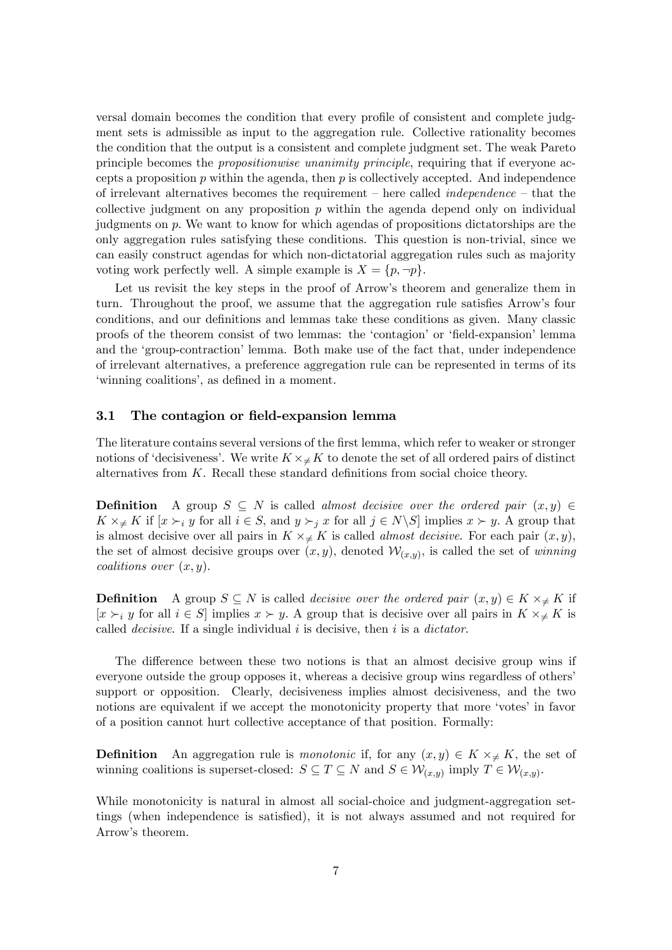versal domain becomes the condition that every profile of consistent and complete judgment sets is admissible as input to the aggregation rule. Collective rationality becomes the condition that the output is a consistent and complete judgment set. The weak Pareto principle becomes the propositionwise unanimity principle, requiring that if everyone accepts a proposition  $p$  within the agenda, then  $p$  is collectively accepted. And independence of irrelevant alternatives becomes the requirement – here called *independence* – that the collective judgment on any proposition  $p$  within the agenda depend only on individual judgments on p. We want to know for which agendas of propositions dictatorships are the only aggregation rules satisfying these conditions. This question is non-trivial, since we can easily construct agendas for which non-dictatorial aggregation rules such as majority voting work perfectly well. A simple example is  $X = \{p, \neg p\}.$ 

Let us revisit the key steps in the proof of Arrow's theorem and generalize them in turn. Throughout the proof, we assume that the aggregation rule satisfies Arrow's four conditions, and our definitions and lemmas take these conditions as given. Many classic proofs of the theorem consist of two lemmas: the 'contagion' or 'field-expansion' lemma and the 'group-contraction' lemma. Both make use of the fact that, under independence of irrelevant alternatives, a preference aggregation rule can be represented in terms of its 'winning coalitions', as defined in a moment.

#### 3.1 The contagion or field-expansion lemma

The literature contains several versions of the first lemma, which refer to weaker or stronger notions of 'decisiveness'. We write  $K \times \neq K$  to denote the set of all ordered pairs of distinct alternatives from  $K$ . Recall these standard definitions from social choice theory.

**Definition** A group  $S \subseteq N$  is called almost decisive over the ordered pair  $(x, y) \in$  $K \times_{\neq} K$  if  $[x \succ_i y$  for all  $i \in S$ , and  $y \succ_j x$  for all  $j \in N \setminus S$  implies  $x \succ y$ . A group that is almost decisive over all pairs in  $K \times \neq K$  is called *almost decisive*. For each pair  $(x, y)$ , the set of almost decisive groups over  $(x, y)$ , denoted  $\mathcal{W}_{(x,y)}$ , is called the set of winning coalitions over  $(x, y)$ .

**Definition** A group  $S \subseteq N$  is called *decisive over the ordered pair*  $(x, y) \in K \times_{\neq} K$  if  $[x \succ_i y$  for all  $i \in S]$  implies  $x \succ y$ . A group that is decisive over all pairs in  $K \times \nleq K$  is called *decisive*. If a single individual  $i$  is decisive, then  $i$  is a *dictator*.

The difference between these two notions is that an almost decisive group wins if everyone outside the group opposes it, whereas a decisive group wins regardless of others<sup>7</sup> support or opposition. Clearly, decisiveness implies almost decisiveness, and the two notions are equivalent if we accept the monotonicity property that more 'votes' in favor of a position cannot hurt collective acceptance of that position. Formally:

**Definition** An aggregation rule is *monotonic* if, for any  $(x, y) \in K \times \# K$ , the set of winning coalitions is superset-closed:  $S \subseteq T \subseteq N$  and  $S \in \mathcal{W}_{(x,y)}$  imply  $T \in \mathcal{W}_{(x,y)}$ .

While monotonicity is natural in almost all social-choice and judgment-aggregation settings (when independence is satisfied), it is not always assumed and not required for Arrow's theorem.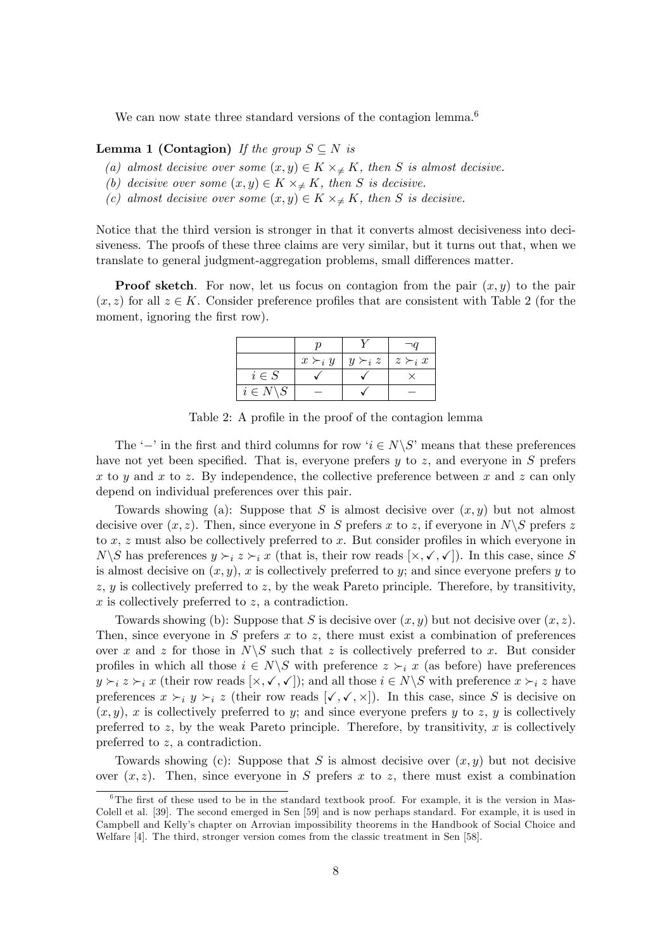We can now state three standard versions of the contagion lemma. $6$ 

#### **Lemma 1 (Contagion)** If the group  $S \subseteq N$  is

- (a) almost decisive over some  $(x, y) \in K \times \neq K$ , then S is almost decisive.
- (b) decisive over some  $(x, y) \in K \times_{\neq} K$ , then S is decisive.
- (c) almost decisive over some  $(x, y) \in K \times_{\neq} K$ , then S is decisive.

Notice that the third version is stronger in that it converts almost decisiveness into decisiveness. The proofs of these three claims are very similar, but it turns out that, when we translate to general judgment-aggregation problems, small differences matter.

**Proof sketch**. For now, let us focus on contagion from the pair  $(x, y)$  to the pair  $(x, z)$  for all  $z \in K$ . Consider preference profiles that are consistent with Table 2 (for the moment, ignoring the first row).

|                        | $x \succ_i y$ | $y \succ_i z$ | $z \succ_i x$ |  |
|------------------------|---------------|---------------|---------------|--|
| $i \in S$              |               |               |               |  |
| $i \in N \backslash S$ |               |               |               |  |

Table 2: A profile in the proof of the contagion lemma

The '-' in the first and third columns for row ' $i \in N \backslash S$ ' means that these preferences have not yet been specified. That is, everyone prefers  $y$  to  $z$ , and everyone in  $S$  prefers x to y and x to z. By independence, the collective preference between x and z can only depend on individual preferences over this pair.

Towards showing (a): Suppose that S is almost decisive over  $(x, y)$  but not almost decisive over  $(x, z)$ . Then, since everyone in S prefers x to z, if everyone in  $N\setminus S$  prefers z to  $x, z$  must also be collectively preferred to  $x$ . But consider profiles in which everyone in  $N\backslash S$  has preferences  $y \succ_i z \succ_i x$  (that is, their row reads  $[\times, \checkmark, \checkmark]$ ). In this case, since S is almost decisive on  $(x, y)$ , x is collectively preferred to y; and since everyone prefers y to  $z, y$  is collectively preferred to z, by the weak Pareto principle. Therefore, by transitivity,  $x$  is collectively preferred to  $z$ , a contradiction.

Towards showing (b): Suppose that S is decisive over  $(x, y)$  but not decisive over  $(x, z)$ . Then, since everyone in  $S$  prefers  $x$  to  $z$ , there must exist a combination of preferences over x and z for those in  $N\backslash S$  such that z is collectively preferred to x. But consider profiles in which all those  $i \in N\backslash S$  with preference  $z \succ_i x$  (as before) have preferences  $y \succ_i z \succ_i x$  (their row reads  $[\times, \checkmark, \checkmark]$ ); and all those  $i \in N \backslash S$  with preference  $x \succ_i z$  have preferences  $x \succ_i y \succ_i z$  (their row reads  $[\checkmark, \checkmark, \times]$ ). In this case, since S is decisive on  $(x, y)$ , x is collectively preferred to y; and since everyone prefers y to z, y is collectively preferred to z, by the weak Pareto principle. Therefore, by transitivity, x is collectively preferred to z, a contradiction.

Towards showing (c): Suppose that S is almost decisive over  $(x, y)$  but not decisive over  $(x, z)$ . Then, since everyone in S prefers x to z, there must exist a combination

 $\overline{6}$ The first of these used to be in the standard textbook proof. For example, it is the version in Mas-Colell et al. [39]. The second emerged in Sen [59] and is now perhaps standard. For example, it is used in Campbell and Kellyís chapter on Arrovian impossibility theorems in the Handbook of Social Choice and Welfare [4]. The third, stronger version comes from the classic treatment in Sen [58].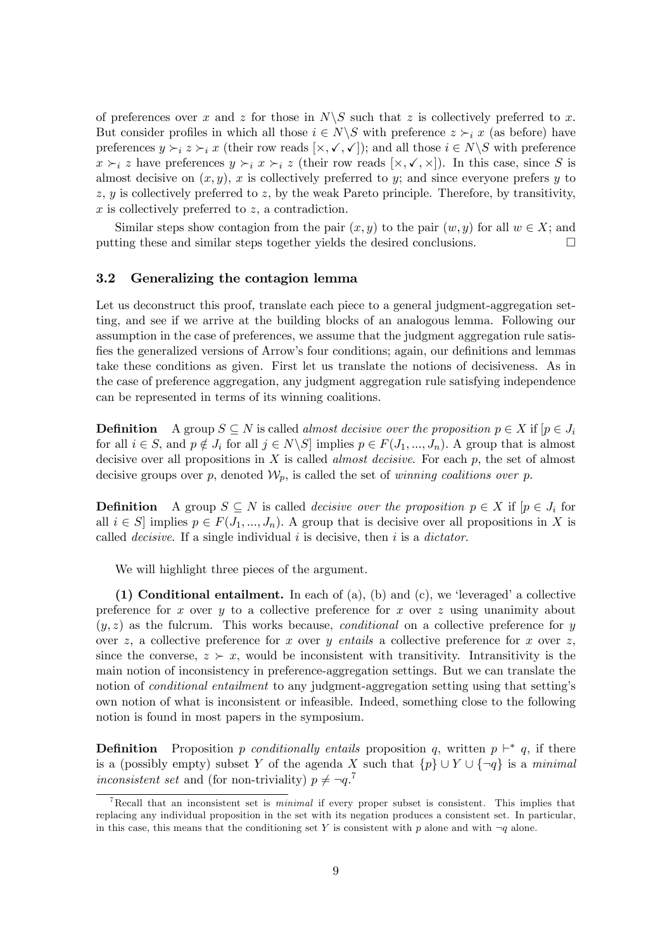of preferences over x and z for those in  $N\setminus S$  such that z is collectively preferred to x. But consider profiles in which all those  $i \in N \backslash S$  with preference  $z \succ_i x$  (as before) have preferences  $y \succ_i z \succ_i x$  (their row reads  $[\times, \checkmark, \checkmark]$ ); and all those  $i \in N \backslash S$  with preference  $x \succ_i z$  have preferences  $y \succ_i x \succ_i z$  (their row reads  $[\times, \checkmark, \times]$ ). In this case, since S is almost decisive on  $(x, y)$ , x is collectively preferred to y; and since everyone prefers y to  $z, y$  is collectively preferred to z, by the weak Pareto principle. Therefore, by transitivity,  $x$  is collectively preferred to  $z$ , a contradiction.

Similar steps show contagion from the pair  $(x, y)$  to the pair  $(w, y)$  for all  $w \in X$ ; and ting these and similar steps together vields the desired conclusions. putting these and similar steps together yields the desired conclusions.

#### 3.2 Generalizing the contagion lemma

Let us deconstruct this proof, translate each piece to a general judgment-aggregation setting, and see if we arrive at the building blocks of an analogous lemma. Following our assumption in the case of preferences, we assume that the judgment aggregation rule satisfies the generalized versions of Arrow's four conditions; again, our definitions and lemmas take these conditions as given. First let us translate the notions of decisiveness. As in the case of preference aggregation, any judgment aggregation rule satisfying independence can be represented in terms of its winning coalitions.

**Definition** A group  $S \subseteq N$  is called *almost decisive over the proposition*  $p \in X$  if  $[p \in J_i]$ for all  $i \in S$ , and  $p \notin J_i$  for all  $j \in N\backslash S$  implies  $p \in F(J_1, ..., J_n)$ . A group that is almost decisive over all propositions in  $X$  is called *almost decisive*. For each  $p$ , the set of almost decisive groups over p, denoted  $\mathcal{W}_p$ , is called the set of winning coalitions over p.

**Definition** A group  $S \subseteq N$  is called *decisive over the proposition*  $p \in X$  if  $[p \in J_i]$  for all  $i \in S$  implies  $p \in F(J_1, ..., J_n)$ . A group that is decisive over all propositions in X is called *decisive*. If a single individual  $i$  is decisive, then  $i$  is a *dictator*.

We will highlight three pieces of the argument.

(1) Conditional entailment. In each of (a), (b) and (c), we 'leveraged' a collective preference for x over y to a collective preference for x over z using unanimity about  $(y, z)$  as the fulcrum. This works because, *conditional* on a collective preference for y over z, a collective preference for x over y entails a collective preference for x over z, since the converse,  $z \succ x$ , would be inconsistent with transitivity. Intransitivity is the main notion of inconsistency in preference-aggregation settings. But we can translate the notion of *conditional entailment* to any judgment-aggregation setting using that setting's own notion of what is inconsistent or infeasible. Indeed, something close to the following notion is found in most papers in the symposium.

**Definition** Proposition p conditionally entails proposition q, written  $p \vdash^* q$ , if there is a (possibly empty) subset Y of the agenda X such that  $\{p\} \cup Y \cup \{\neg q\}$  is a minimal inconsistent set and (for non-triviality)  $p \neq \neg q$ .<sup>7</sup>

<sup>&</sup>lt;sup>7</sup>Recall that an inconsistent set is *minimal* if every proper subset is consistent. This implies that replacing any individual proposition in the set with its negation produces a consistent set. In particular, in this case, this means that the conditioning set Y is consistent with p alone and with  $\neg q$  alone.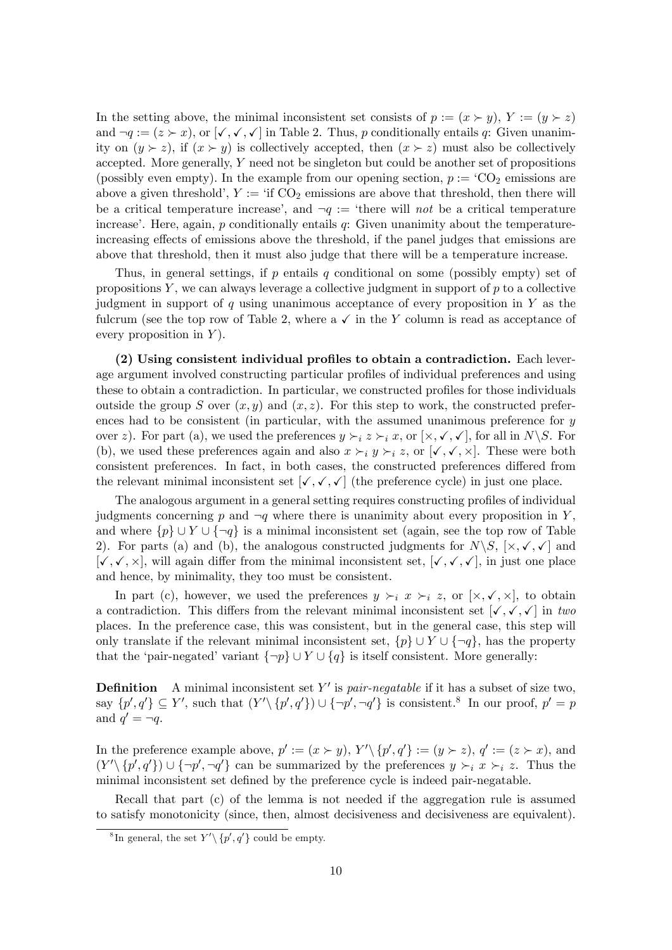In the setting above, the minimal inconsistent set consists of  $p := (x \succ y)$ ,  $Y := (y \succ z)$ and  $\neg q := (z \succ x)$ , or  $[\checkmark, \checkmark, \checkmark]$  in Table 2. Thus, p conditionally entails q: Given unanimity on  $(y \succ z)$ , if  $(x \succ y)$  is collectively accepted, then  $(x \succ z)$  must also be collectively accepted. More generally, Y need not be singleton but could be another set of propositions (possibly even empty). In the example from our opening section,  $p := \text{CO}_2$  emissions are above a given threshold',  $Y := \text{if } CO_2$  emissions are above that threshold, then there will be a critical temperature increase', and  $\neg q :=$  'there will not be a critical temperature increase'. Here, again,  $p$  conditionally entails  $q$ : Given unanimity about the temperatureincreasing effects of emissions above the threshold, if the panel judges that emissions are above that threshold, then it must also judge that there will be a temperature increase.

Thus, in general settings, if  $p$  entails  $q$  conditional on some (possibly empty) set of propositions  $Y$ , we can always leverage a collective judgment in support of  $p$  to a collective judgment in support of  $q$  using unanimous acceptance of every proposition in  $Y$  as the fulcrum (see the top row of Table 2, where a  $\checkmark$  in the Y column is read as acceptance of every proposition in  $Y$ ).

 $(2)$  Using consistent individual profiles to obtain a contradiction. Each leverage argument involved constructing particular profiles of individual preferences and using these to obtain a contradiction. In particular, we constructed profiles for those individuals outside the group S over  $(x, y)$  and  $(x, z)$ . For this step to work, the constructed preferences had to be consistent (in particular, with the assumed unanimous preference for y over z). For part (a), we used the preferences  $y \succ_i z \succ_i x$ , or  $[\times, \checkmark, \checkmark]$ , for all in  $N \backslash S$ . For (b), we used these preferences again and also  $x \succ_i y \succ_i z$ , or  $[\checkmark, \checkmark, \checkmark]$ . These were both consistent preferences. In fact, in both cases, the constructed preferences differed from the relevant minimal inconsistent set  $[\checkmark, \checkmark, \checkmark]$  (the preference cycle) in just one place.

The analogous argument in a general setting requires constructing profiles of individual judgments concerning p and  $\neg q$  where there is unanimity about every proposition in Y, and where  $\{p\} \cup Y \cup \{\neg q\}$  is a minimal inconsistent set (again, see the top row of Table 2). For parts (a) and (b), the analogous constructed judgments for  $N\setminus S$ ,  $[\times, \checkmark, \checkmark]$  and  $[\checkmark, \checkmark, \checkmark, \checkmark]$ , will again differ from the minimal inconsistent set,  $[\checkmark, \checkmark, \checkmark]$ , in just one place and hence, by minimality, they too must be consistent.

In part (c), however, we used the preferences  $y \succ_i x \succ_i z$ , or  $[\times, \checkmark, \times]$ , to obtain a contradiction. This differs from the relevant minimal inconsistent set  $[\checkmark, \checkmark, \checkmark]$  in two places. In the preference case, this was consistent, but in the general case, this step will only translate if the relevant minimal inconsistent set,  $\{p\} \cup Y \cup \{\neg q\}$ , has the property that the 'pair-negated' variant  $\{\neg p\} \cup Y \cup \{q\}$  is itself consistent. More generally:

**Definition** A minimal inconsistent set Y' is *pair-negatable* if it has a subset of size two, say  $\{p', q'\} \subseteq Y'$ , such that  $(Y' \setminus \{p', q'\}) \cup \{\neg p', \neg q'\}$  is consistent.<sup>8</sup> In our proof,  $p' = p$ and  $q' = \neg q$ .

In the preference example above,  $p' := (x \succ y)$ ,  $Y' \setminus \{p', q'\} := (y \succ z)$ ,  $q' := (z \succ x)$ , and  $(Y' \setminus \{p', q'\}) \cup \{\neg p', \neg q'\}$  can be summarized by the preferences  $y \succ_i x \succ_i z$ . Thus the minimal inconsistent set defined by the preference cycle is indeed pair-negatable.

Recall that part (c) of the lemma is not needed if the aggregation rule is assumed to satisfy monotonicity (since, then, almost decisiveness and decisiveness are equivalent).

<sup>&</sup>lt;sup>8</sup>In general, the set  $Y' \setminus \{p', q'\}$  could be empty.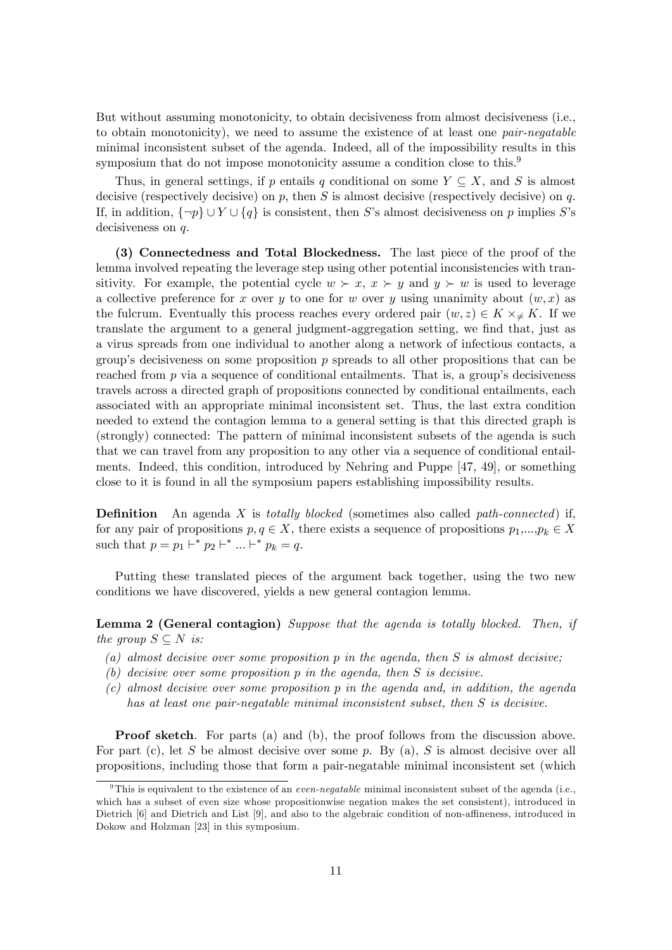But without assuming monotonicity, to obtain decisiveness from almost decisiveness (i.e., to obtain monotonicity), we need to assume the existence of at least one *pair-negatable* minimal inconsistent subset of the agenda. Indeed, all of the impossibility results in this symposium that do not impose monotonicity assume a condition close to this.<sup>9</sup>

Thus, in general settings, if p entails q conditional on some  $Y \subseteq X$ , and S is almost decisive (respectively decisive) on p, then S is almost decisive (respectively decisive) on q. If, in addition,  $\{\neg p\} \cup Y \cup \{q\}$  is consistent, then S's almost decisiveness on p implies S's decisiveness on q.

(3) Connectedness and Total Blockedness. The last piece of the proof of the lemma involved repeating the leverage step using other potential inconsistencies with transitivity. For example, the potential cycle  $w \succ x$ ,  $x \succ y$  and  $y \succ w$  is used to leverage a collective preference for x over y to one for w over y using unanimity about  $(w, x)$  as the fulcrum. Eventually this process reaches every ordered pair  $(w, z) \in K \times_{\neq} K$ . If we translate the argument to a general judgment-aggregation setting, we find that, just as a virus spreads from one individual to another along a network of infectious contacts, a group's decisiveness on some proposition  $p$  spreads to all other propositions that can be reached from  $p$  via a sequence of conditional entailments. That is, a group's decisiveness travels across a directed graph of propositions connected by conditional entailments, each associated with an appropriate minimal inconsistent set. Thus, the last extra condition needed to extend the contagion lemma to a general setting is that this directed graph is (strongly) connected: The pattern of minimal inconsistent subsets of the agenda is such that we can travel from any proposition to any other via a sequence of conditional entailments. Indeed, this condition, introduced by Nehring and Puppe [47, 49], or something close to it is found in all the symposium papers establishing impossibility results.

**Definition** An agenda X is totally blocked (sometimes also called path-connected) if, for any pair of propositions  $p, q \in X$ , there exists a sequence of propositions  $p_1,...,p_k \in X$ such that  $p = p_1 \vdash^* p_2 \vdash^* ... \vdash^* p_k = q$ .

Putting these translated pieces of the argument back together, using the two new conditions we have discovered, yields a new general contagion lemma.

**Lemma 2 (General contagion)** Suppose that the agenda is totally blocked. Then, if the group  $S \subseteq N$  is:

- (a) almost decisive over some proposition  $p$  in the agenda, then  $S$  is almost decisive;
- (b) decisive over some proposition p in the agenda, then S is decisive.
- (c) almost decisive over some proposition p in the agenda and, in addition, the agenda has at least one pair-negatable minimal inconsistent subset, then S is decisive.

Proof sketch. For parts (a) and (b), the proof follows from the discussion above. For part (c), let S be almost decisive over some  $p$ . By (a), S is almost decisive over all propositions, including those that form a pair-negatable minimal inconsistent set (which

<sup>&</sup>lt;sup>9</sup>This is equivalent to the existence of an *even-negatable* minimal inconsistent subset of the agenda (i.e., which has a subset of even size whose propositionwise negation makes the set consistent), introduced in Dietrich [6] and Dietrich and List [9], and also to the algebraic condition of non-affineness, introduced in Dokow and Holzman [23] in this symposium.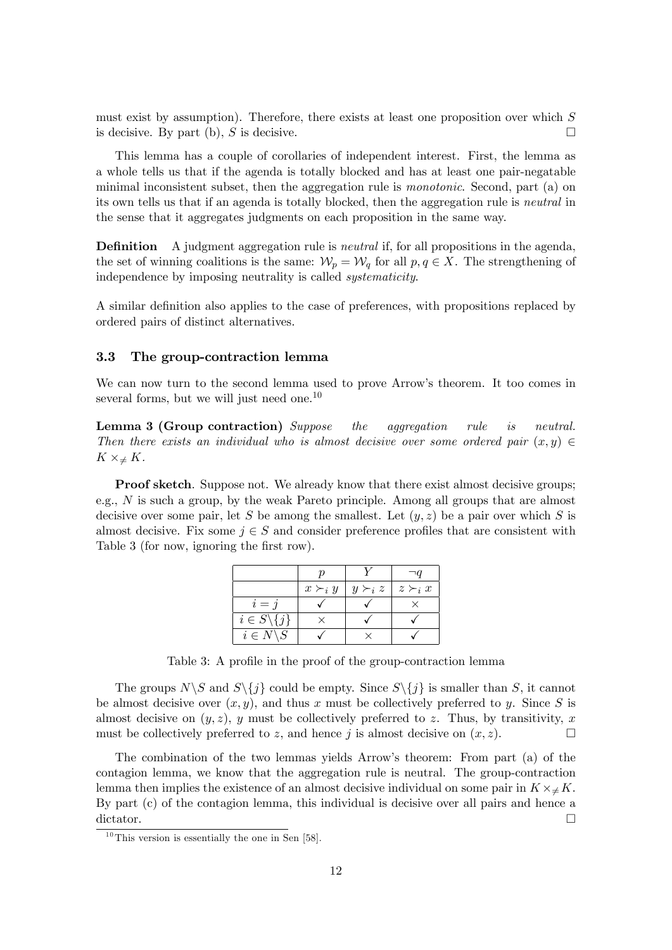must exist by assumption). Therefore, there exists at least one proposition over which  $S$ is decisive. By part (b), S is decisive.

This lemma has a couple of corollaries of independent interest. First, the lemma as a whole tells us that if the agenda is totally blocked and has at least one pair-negatable minimal inconsistent subset, then the aggregation rule is monotonic. Second, part (a) on its own tells us that if an agenda is totally blocked, then the aggregation rule is neutral in the sense that it aggregates judgments on each proposition in the same way.

**Definition** A judgment aggregation rule is *neutral* if, for all propositions in the agenda, the set of winning coalitions is the same:  $\mathcal{W}_p = \mathcal{W}_q$  for all  $p, q \in X$ . The strengthening of independence by imposing neutrality is called systematicity.

A similar definition also applies to the case of preferences, with propositions replaced by ordered pairs of distinct alternatives.

#### 3.3 The group-contraction lemma

We can now turn to the second lemma used to prove Arrow's theorem. It too comes in several forms, but we will just need one.<sup>10</sup>

Lemma 3 (Group contraction) Suppose the aggregation rule is neutral. Then there exists an individual who is almost decisive over some ordered pair  $(x, y) \in$  $K \times \neq K$ .

**Proof sketch.** Suppose not. We already know that there exist almost decisive groups; e.g.,  $N$  is such a group, by the weak Pareto principle. Among all groups that are almost decisive over some pair, let S be among the smallest. Let  $(y, z)$  be a pair over which S is almost decisive. Fix some  $j \in S$  and consider preference profiles that are consistent with Table 3 (for now, ignoring the first row).

|                            | $x \succ_i y$ | $y \succ_i z$ | $z \succ_i x$ |
|----------------------------|---------------|---------------|---------------|
| $i = 1$                    |               |               |               |
| $i \in S \backslash \{j\}$ |               |               |               |
| $i \in N \backslash S$     |               |               |               |

Table 3: A profile in the proof of the group-contraction lemma

The groups  $N\setminus S$  and  $S\setminus\{j\}$  could be empty. Since  $S\setminus\{j\}$  is smaller than S, it cannot be almost decisive over  $(x, y)$ , and thus x must be collectively preferred to y. Since S is almost decisive on  $(y, z)$ , y must be collectively preferred to z. Thus, by transitivity, x must be collectively preferred to z, and hence j is almost decisive on  $(x, z)$ .

The combination of the two lemmas yields Arrow's theorem: From part (a) of the contagion lemma, we know that the aggregation rule is neutral. The group-contraction lemma then implies the existence of an almost decisive individual on some pair in  $K \times_{\neq} K$ . By part (c) of the contagion lemma, this individual is decisive over all pairs and hence a dictator.

 $10$ This version is essentially the one in Sen [58].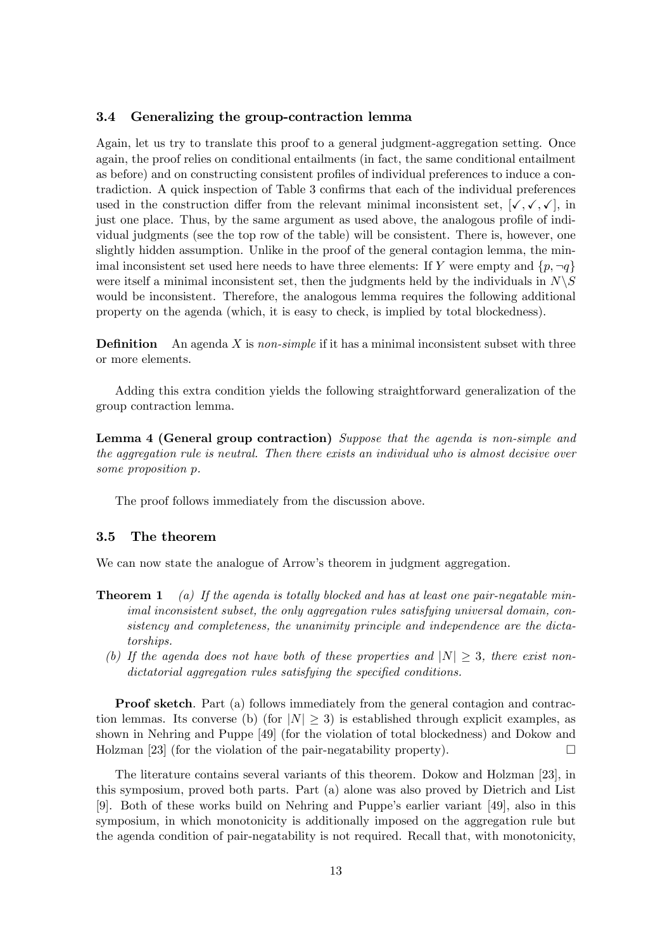#### 3.4 Generalizing the group-contraction lemma

Again, let us try to translate this proof to a general judgment-aggregation setting. Once again, the proof relies on conditional entailments (in fact, the same conditional entailment as before) and on constructing consistent profiles of individual preferences to induce a contradiction. A quick inspection of Table 3 confirms that each of the individual preferences used in the construction differ from the relevant minimal inconsistent set,  $[\checkmark, \checkmark, \checkmark]$ , in just one place. Thus, by the same argument as used above, the analogous profile of individual judgments (see the top row of the table) will be consistent. There is, however, one slightly hidden assumption. Unlike in the proof of the general contagion lemma, the minimal inconsistent set used here needs to have three elements: If Y were empty and  $\{p, \neg q\}$ were itself a minimal inconsistent set, then the judgments held by the individuals in  $N\setminus S$ would be inconsistent. Therefore, the analogous lemma requires the following additional property on the agenda (which, it is easy to check, is implied by total blockedness).

**Definition** An agenda X is non-simple if it has a minimal inconsistent subset with three or more elements.

Adding this extra condition yields the following straightforward generalization of the group contraction lemma.

Lemma 4 (General group contraction) Suppose that the agenda is non-simple and the aggregation rule is neutral. Then there exists an individual who is almost decisive over some proposition p.

The proof follows immediately from the discussion above.

#### 3.5 The theorem

We can now state the analogue of Arrow's theorem in judgment aggregation.

- **Theorem 1** (a) If the agenda is totally blocked and has at least one pair-negatable minimal inconsistent subset, the only aggregation rules satisfying universal domain, consistency and completeness, the unanimity principle and independence are the dictatorships.
	- (b) If the agenda does not have both of these properties and  $|N|\geq 3$ , there exist non $dictatorial$  aggregation rules satisfying the specified conditions.

Proof sketch. Part (a) follows immediately from the general contagion and contraction lemmas. Its converse (b) (for  $|N| \geq 3$ ) is established through explicit examples, as shown in Nehring and Puppe [49] (for the violation of total blockedness) and Dokow and Holzman [23] (for the violation of the pair-negatability property).  $\Box$ 

The literature contains several variants of this theorem. Dokow and Holzman [23], in this symposium, proved both parts. Part (a) alone was also proved by Dietrich and List [9]. Both of these works build on Nehring and Puppeís earlier variant [49], also in this symposium, in which monotonicity is additionally imposed on the aggregation rule but the agenda condition of pair-negatability is not required. Recall that, with monotonicity,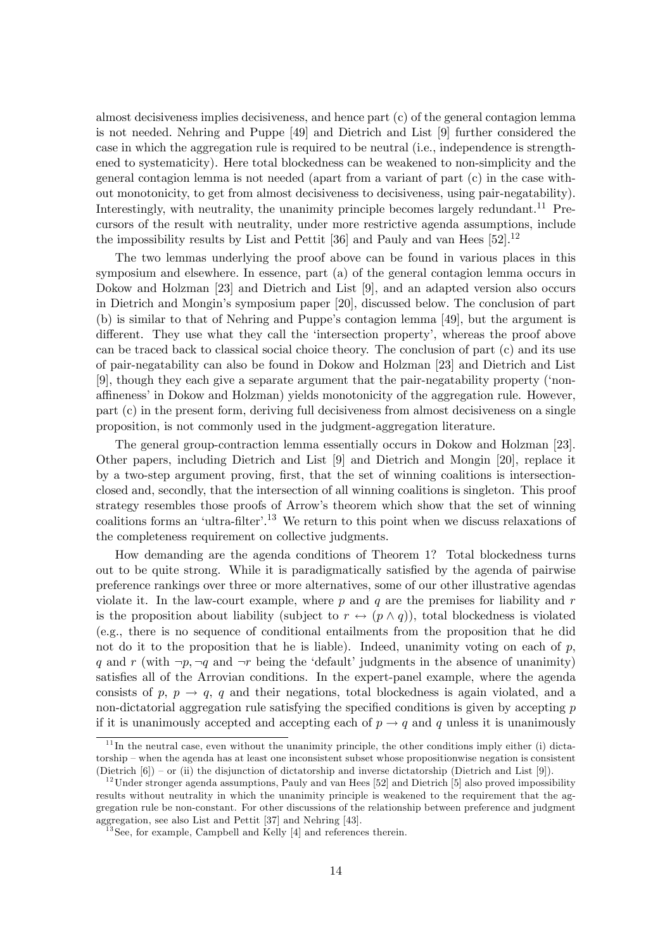almost decisiveness implies decisiveness, and hence part (c) of the general contagion lemma is not needed. Nehring and Puppe [49] and Dietrich and List [9] further considered the case in which the aggregation rule is required to be neutral (i.e., independence is strengthened to systematicity). Here total blockedness can be weakened to non-simplicity and the general contagion lemma is not needed (apart from a variant of part (c) in the case without monotonicity, to get from almost decisiveness to decisiveness, using pair-negatability). Interestingly, with neutrality, the unanimity principle becomes largely redundant.<sup>11</sup> Precursors of the result with neutrality, under more restrictive agenda assumptions, include the impossibility results by List and Pettit  $[36]$  and Pauly and van Hees  $[52]$ .<sup>12</sup>

The two lemmas underlying the proof above can be found in various places in this symposium and elsewhere. In essence, part (a) of the general contagion lemma occurs in Dokow and Holzman [23] and Dietrich and List [9], and an adapted version also occurs in Dietrich and Mongin's symposium paper [20], discussed below. The conclusion of part (b) is similar to that of Nehring and Puppe's contagion lemma [49], but the argument is different. They use what they call the 'intersection property', whereas the proof above can be traced back to classical social choice theory. The conclusion of part (c) and its use of pair-negatability can also be found in Dokow and Holzman [23] and Dietrich and List [9], though they each give a separate argument that the pair-negatability property (ënonaffineness' in Dokow and Holzman) yields monotonicity of the aggregation rule. However, part (c) in the present form, deriving full decisiveness from almost decisiveness on a single proposition, is not commonly used in the judgment-aggregation literature.

The general group-contraction lemma essentially occurs in Dokow and Holzman [23]. Other papers, including Dietrich and List [9] and Dietrich and Mongin [20], replace it by a two-step argument proving, first, that the set of winning coalitions is intersectionclosed and, secondly, that the intersection of all winning coalitions is singleton. This proof strategy resembles those proofs of Arrowís theorem which show that the set of winning coalitions forms an 'ultra-filter'.<sup>13</sup> We return to this point when we discuss relaxations of the completeness requirement on collective judgments.

How demanding are the agenda conditions of Theorem 1? Total blockedness turns out to be quite strong. While it is paradigmatically satisfied by the agenda of pairwise preference rankings over three or more alternatives, some of our other illustrative agendas violate it. In the law-court example, where  $p$  and  $q$  are the premises for liability and  $r$ is the proposition about liability (subject to  $r \leftrightarrow (p \wedge q)$ ), total blockedness is violated (e.g., there is no sequence of conditional entailments from the proposition that he did not do it to the proposition that he is liable). Indeed, unanimity voting on each of  $p$ , q and r (with  $\neg p, \neg q$  and  $\neg r$  being the 'default' judgments in the absence of unanimity) satisfies all of the Arrovian conditions. In the expert-panel example, where the agenda consists of p,  $p \rightarrow q$ , q and their negations, total blockedness is again violated, and a non-dictatorial aggregation rule satisfying the specified conditions is given by accepting  $p$ if it is unanimously accepted and accepting each of  $p \rightarrow q$  and q unless it is unanimously

 $11$  In the neutral case, even without the unanimity principle, the other conditions imply either (i) dictatorship – when the agenda has at least one inconsistent subset whose propositionwise negation is consistent (Dietrich  $[6]$ ) – or (ii) the disjunction of dictatorship and inverse dictatorship (Dietrich and List  $[9]$ ).

 $12$ Under stronger agenda assumptions, Pauly and van Hees [52] and Dietrich [5] also proved impossibility results without neutrality in which the unanimity principle is weakened to the requirement that the aggregation rule be non-constant. For other discussions of the relationship between preference and judgment aggregation, see also List and Pettit [37] and Nehring [43].

 $13$  See, for example, Campbell and Kelly [4] and references therein.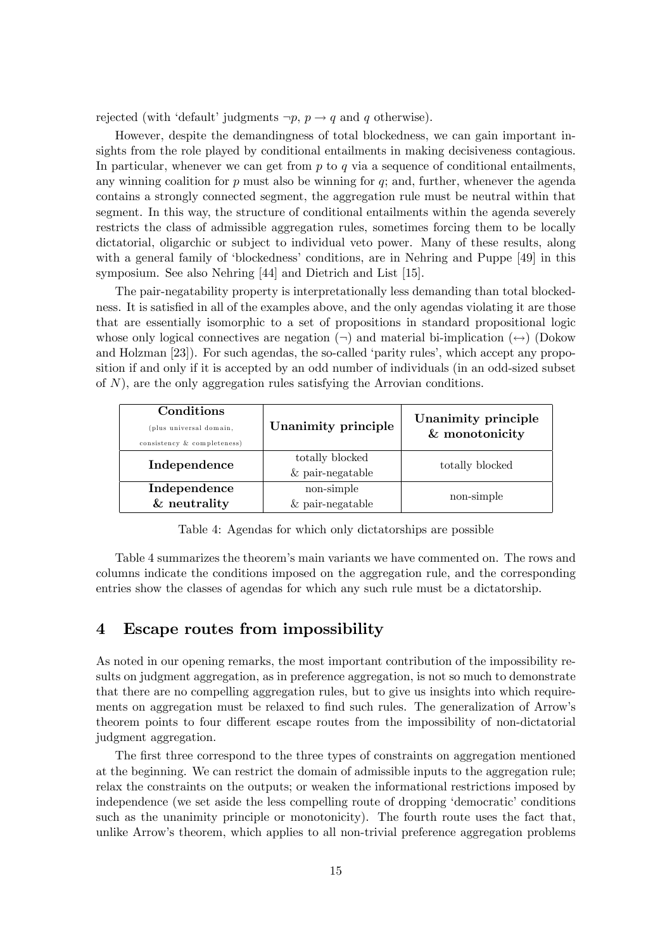rejected (with 'default' judgments  $\neg p, p \rightarrow q$  and q otherwise).

However, despite the demandingness of total blockedness, we can gain important insights from the role played by conditional entailments in making decisiveness contagious. In particular, whenever we can get from  $p$  to  $q$  via a sequence of conditional entailments, any winning coalition for  $p$  must also be winning for  $q$ ; and, further, whenever the agenda contains a strongly connected segment, the aggregation rule must be neutral within that segment. In this way, the structure of conditional entailments within the agenda severely restricts the class of admissible aggregation rules, sometimes forcing them to be locally dictatorial, oligarchic or subject to individual veto power. Many of these results, along with a general family of 'blockedness' conditions, are in Nehring and Puppe [49] in this symposium. See also Nehring [44] and Dietrich and List [15].

The pair-negatability property is interpretationally less demanding than total blockedness. It is satisfied in all of the examples above, and the only agendas violating it are those that are essentially isomorphic to a set of propositions in standard propositional logic whose only logical connectives are negation  $(\neg)$  and material bi-implication  $(\leftrightarrow)$  (Dokow and Holzman [23]). For such agendas, the so-called 'parity rules', which accept any proposition if and only if it is accepted by an odd number of individuals (in an odd-sized subset of  $N$ ), are the only aggregation rules satisfying the Arrovian conditions.

| Conditions<br>plus universal domain,<br>consistency & completeness) | Unanimity principle                         | Unanimity principle<br>& monotonicity |  |
|---------------------------------------------------------------------|---------------------------------------------|---------------------------------------|--|
| Independence                                                        | totally blocked<br>$&\text{ pair-negative}$ | totally blocked                       |  |
| Independence<br>& neutrality                                        | non-simple<br>$&\text{ pair-negative}$      | non-simple                            |  |

Table 4: Agendas for which only dictatorships are possible

Table 4 summarizes the theorem's main variants we have commented on. The rows and columns indicate the conditions imposed on the aggregation rule, and the corresponding entries show the classes of agendas for which any such rule must be a dictatorship.

# 4 Escape routes from impossibility

As noted in our opening remarks, the most important contribution of the impossibility results on judgment aggregation, as in preference aggregation, is not so much to demonstrate that there are no compelling aggregation rules, but to give us insights into which requirements on aggregation must be relaxed to find such rules. The generalization of Arrow's theorem points to four different escape routes from the impossibility of non-dictatorial judgment aggregation.

The first three correspond to the three types of constraints on aggregation mentioned at the beginning. We can restrict the domain of admissible inputs to the aggregation rule; relax the constraints on the outputs; or weaken the informational restrictions imposed by independence (we set aside the less compelling route of dropping 'democratic' conditions such as the unanimity principle or monotonicity). The fourth route uses the fact that, unlike Arrow's theorem, which applies to all non-trivial preference aggregation problems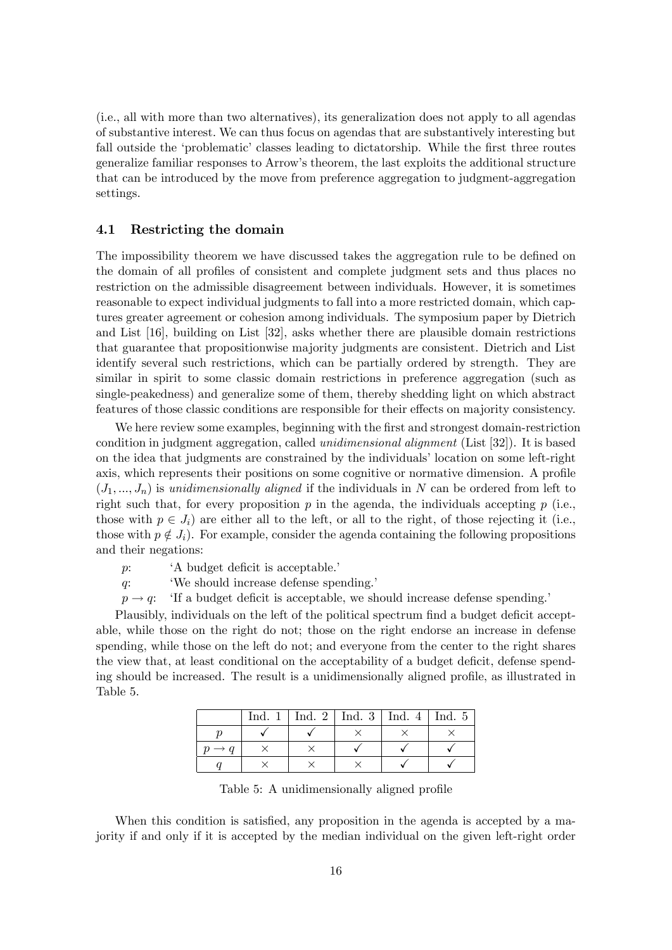(i.e., all with more than two alternatives), its generalization does not apply to all agendas of substantive interest. We can thus focus on agendas that are substantively interesting but fall outside the 'problematic' classes leading to dictatorship. While the first three routes generalize familiar responses to Arrowís theorem, the last exploits the additional structure that can be introduced by the move from preference aggregation to judgment-aggregation settings.

#### 4.1 Restricting the domain

The impossibility theorem we have discussed takes the aggregation rule to be defined on the domain of all profiles of consistent and complete judgment sets and thus places no restriction on the admissible disagreement between individuals. However, it is sometimes reasonable to expect individual judgments to fall into a more restricted domain, which captures greater agreement or cohesion among individuals. The symposium paper by Dietrich and List [16], building on List [32], asks whether there are plausible domain restrictions that guarantee that propositionwise majority judgments are consistent. Dietrich and List identify several such restrictions, which can be partially ordered by strength. They are similar in spirit to some classic domain restrictions in preference aggregation (such as single-peakedness) and generalize some of them, thereby shedding light on which abstract features of those classic conditions are responsible for their effects on majority consistency.

We here review some examples, beginning with the first and strongest domain-restriction condition in judgment aggregation, called unidimensional alignment (List [32]). It is based on the idea that judgments are constrained by the individuals' location on some left-right axis, which represents their positions on some cognitive or normative dimension. A profile  $(J_1, ..., J_n)$  is unidimensionally aligned if the individuals in N can be ordered from left to right such that, for every proposition  $p$  in the agenda, the individuals accepting  $p$  (i.e., those with  $p \in J_i$ ) are either all to the left, or all to the right, of those rejecting it (i.e., those with  $p \notin J_i$ ). For example, consider the agenda containing the following propositions and their negations:

- $p$ :  $A \text{ budget deficit is acceptable.}$
- q:  $\qquad$  'We should increase defense spending.'
- $p \rightarrow q$ : 'If a budget deficit is acceptable, we should increase defense spending.'

Plausibly, individuals on the left of the political spectrum find a budget deficit acceptable, while those on the right do not; those on the right endorse an increase in defense spending, while those on the left do not; and everyone from the center to the right shares the view that, at least conditional on the acceptability of a budget deficit, defense spending should be increased. The result is a unidimensionally aligned profile, as illustrated in Table 5.

| Ind. $1$ | Ind. 2   Ind. 3   Ind. 4   Ind. 5 |  |
|----------|-----------------------------------|--|
|          |                                   |  |
|          |                                   |  |
|          |                                   |  |

Table 5: A unidimensionally aligned profile

When this condition is satisfied, any proposition in the agenda is accepted by a majority if and only if it is accepted by the median individual on the given left-right order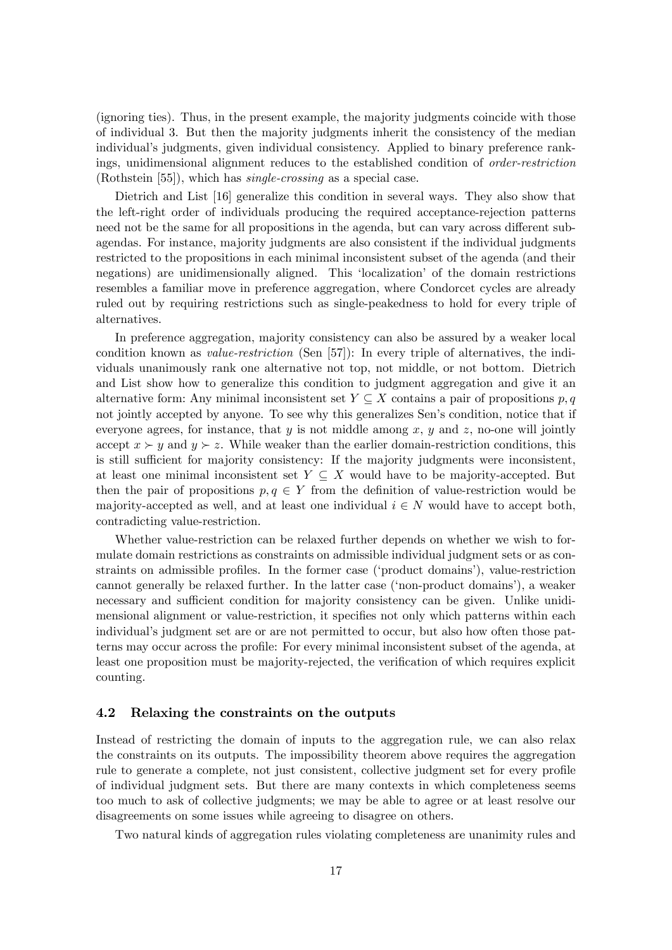(ignoring ties). Thus, in the present example, the majority judgments coincide with those of individual 3. But then the majority judgments inherit the consistency of the median individual's judgments, given individual consistency. Applied to binary preference rankings, unidimensional alignment reduces to the established condition of order-restriction (Rothstein [55]), which has single-crossing as a special case.

Dietrich and List [16] generalize this condition in several ways. They also show that the left-right order of individuals producing the required acceptance-rejection patterns need not be the same for all propositions in the agenda, but can vary across different subagendas. For instance, majority judgments are also consistent if the individual judgments restricted to the propositions in each minimal inconsistent subset of the agenda (and their negations) are unidimensionally aligned. This 'localization' of the domain restrictions resembles a familiar move in preference aggregation, where Condorcet cycles are already ruled out by requiring restrictions such as single-peakedness to hold for every triple of alternatives.

In preference aggregation, majority consistency can also be assured by a weaker local condition known as value-restriction (Sen [57]): In every triple of alternatives, the individuals unanimously rank one alternative not top, not middle, or not bottom. Dietrich and List show how to generalize this condition to judgment aggregation and give it an alternative form: Any minimal inconsistent set  $Y \subseteq X$  contains a pair of propositions p, q not jointly accepted by anyone. To see why this generalizes Sen's condition, notice that if everyone agrees, for instance, that  $y$  is not middle among  $x, y$  and  $z$ , no-one will jointly accept  $x \succ y$  and  $y \succ z$ . While weaker than the earlier domain-restriction conditions, this is still sufficient for majority consistency: If the majority judgments were inconsistent, at least one minimal inconsistent set  $Y \subseteq X$  would have to be majority-accepted. But then the pair of propositions  $p, q \in Y$  from the definition of value-restriction would be majority-accepted as well, and at least one individual  $i \in N$  would have to accept both, contradicting value-restriction.

Whether value-restriction can be relaxed further depends on whether we wish to formulate domain restrictions as constraints on admissible individual judgment sets or as constraints on admissible profiles. In the former case ('product domains'), value-restriction cannot generally be relaxed further. In the latter case ('non-product domains'), a weaker necessary and sufficient condition for majority consistency can be given. Unlike unidimensional alignment or value-restriction, it specifies not only which patterns within each individual's judgment set are or are not permitted to occur, but also how often those patterns may occur across the profile: For every minimal inconsistent subset of the agenda, at least one proposition must be majority-rejected, the verification of which requires explicit counting.

#### 4.2 Relaxing the constraints on the outputs

Instead of restricting the domain of inputs to the aggregation rule, we can also relax the constraints on its outputs. The impossibility theorem above requires the aggregation rule to generate a complete, not just consistent, collective judgment set for every profile of individual judgment sets. But there are many contexts in which completeness seems too much to ask of collective judgments; we may be able to agree or at least resolve our disagreements on some issues while agreeing to disagree on others.

Two natural kinds of aggregation rules violating completeness are unanimity rules and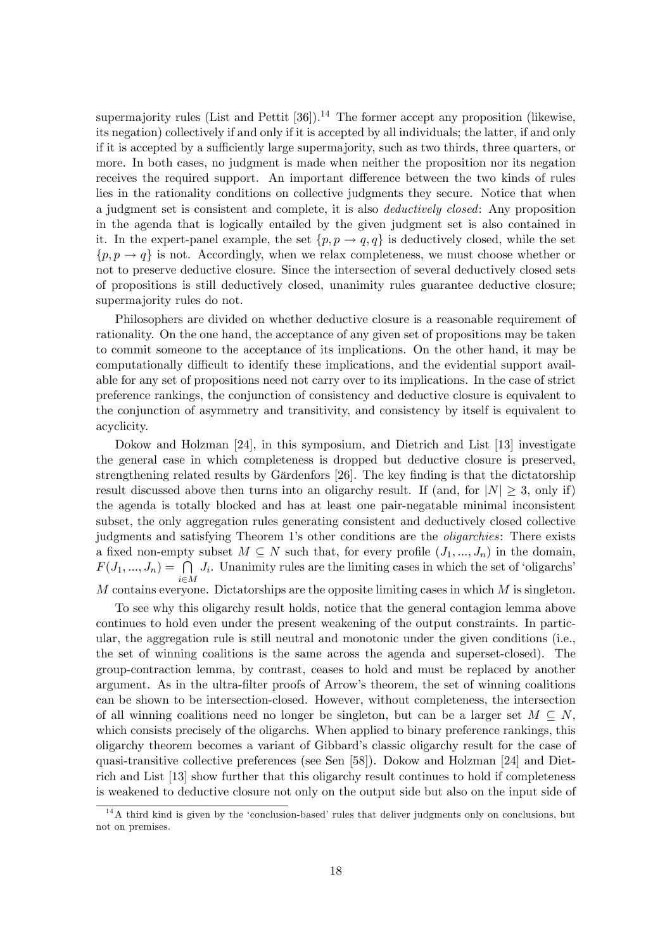supermajority rules (List and Pettit  $[36]$ ).<sup>14</sup> The former accept any proposition (likewise, its negation) collectively if and only if it is accepted by all individuals; the latter, if and only if it is accepted by a sufficiently large supermajority, such as two thirds, three quarters, or more. In both cases, no judgment is made when neither the proposition nor its negation receives the required support. An important difference between the two kinds of rules lies in the rationality conditions on collective judgments they secure. Notice that when a judgment set is consistent and complete, it is also deductively closed: Any proposition in the agenda that is logically entailed by the given judgment set is also contained in it. In the expert-panel example, the set  $\{p, p \rightarrow q, q\}$  is deductively closed, while the set  ${p, p \to q}$  is not. Accordingly, when we relax completeness, we must choose whether or not to preserve deductive closure. Since the intersection of several deductively closed sets of propositions is still deductively closed, unanimity rules guarantee deductive closure; supermajority rules do not.

Philosophers are divided on whether deductive closure is a reasonable requirement of rationality. On the one hand, the acceptance of any given set of propositions may be taken to commit someone to the acceptance of its implications. On the other hand, it may be computationally difficult to identify these implications, and the evidential support available for any set of propositions need not carry over to its implications. In the case of strict preference rankings, the conjunction of consistency and deductive closure is equivalent to the conjunction of asymmetry and transitivity, and consistency by itself is equivalent to acyclicity.

Dokow and Holzman [24], in this symposium, and Dietrich and List [13] investigate the general case in which completeness is dropped but deductive closure is preserved, strengthening related results by Gärdenfors [26]. The key finding is that the dictatorship result discussed above then turns into an oligarchy result. If (and, for  $|N| \geq 3$ , only if) the agenda is totally blocked and has at least one pair-negatable minimal inconsistent subset, the only aggregation rules generating consistent and deductively closed collective judgments and satisfying Theorem 1's other conditions are the *oligarchies*: There exists a fixed non-empty subset  $M \subseteq N$  such that, for every profile  $(J_1, ..., J_n)$  in the domain,  $F(J_1, ..., J_n) = \bigcap$  $i\in M$  $J_i$ . Unanimity rules are the limiting cases in which the set of 'oligarchs'

 $M$  contains everyone. Dictatorships are the opposite limiting cases in which  $M$  is singleton.

To see why this oligarchy result holds, notice that the general contagion lemma above continues to hold even under the present weakening of the output constraints. In particular, the aggregation rule is still neutral and monotonic under the given conditions (i.e., the set of winning coalitions is the same across the agenda and superset-closed). The group-contraction lemma, by contrast, ceases to hold and must be replaced by another argument. As in the ultra-filter proofs of Arrow's theorem, the set of winning coalitions can be shown to be intersection-closed. However, without completeness, the intersection of all winning coalitions need no longer be singleton, but can be a larger set  $M \subseteq N$ , which consists precisely of the oligarchs. When applied to binary preference rankings, this oligarchy theorem becomes a variant of Gibbardís classic oligarchy result for the case of quasi-transitive collective preferences (see Sen [58]). Dokow and Holzman [24] and Dietrich and List [13] show further that this oligarchy result continues to hold if completeness is weakened to deductive closure not only on the output side but also on the input side of

 $14A$  third kind is given by the 'conclusion-based' rules that deliver judgments only on conclusions, but not on premises.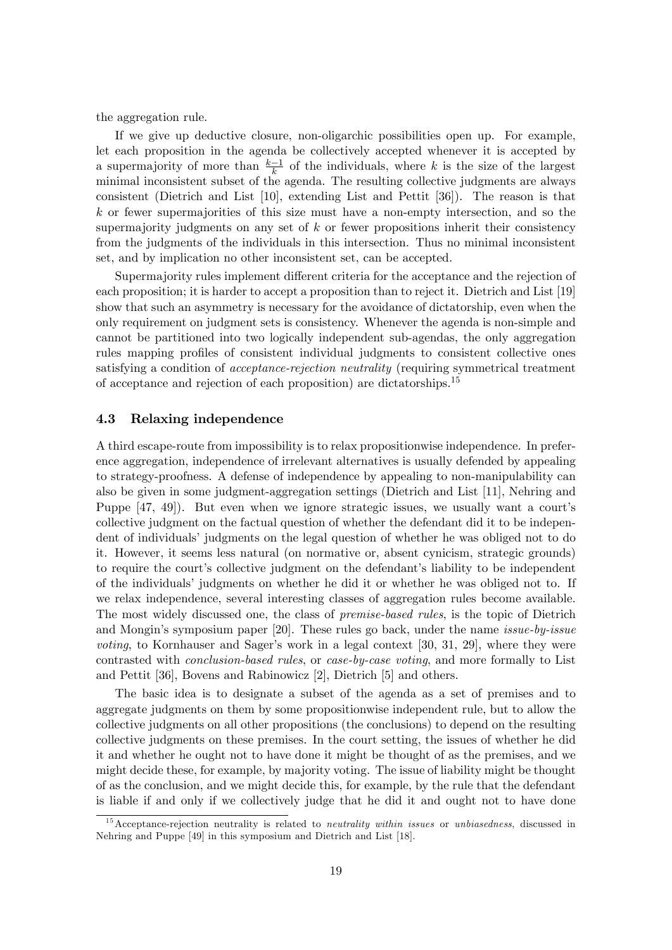the aggregation rule.

If we give up deductive closure, non-oligarchic possibilities open up. For example, let each proposition in the agenda be collectively accepted whenever it is accepted by a supermajority of more than  $\frac{k-1}{k}$  of the individuals, where k is the size of the largest minimal inconsistent subset of the agenda. The resulting collective judgments are always consistent (Dietrich and List [10], extending List and Pettit [36]). The reason is that  $k$  or fewer supermajorities of this size must have a non-empty intersection, and so the supermajority judgments on any set of  $k$  or fewer propositions inherit their consistency from the judgments of the individuals in this intersection. Thus no minimal inconsistent set, and by implication no other inconsistent set, can be accepted.

Supermajority rules implement different criteria for the acceptance and the rejection of each proposition; it is harder to accept a proposition than to reject it. Dietrich and List [19] show that such an asymmetry is necessary for the avoidance of dictatorship, even when the only requirement on judgment sets is consistency. Whenever the agenda is non-simple and cannot be partitioned into two logically independent sub-agendas, the only aggregation rules mapping profiles of consistent individual judgments to consistent collective ones satisfying a condition of *acceptance-rejection neutrality* (requiring symmetrical treatment of acceptance and rejection of each proposition) are dictatorships.<sup>15</sup>

#### 4.3 Relaxing independence

A third escape-route from impossibility is to relax propositionwise independence. In preference aggregation, independence of irrelevant alternatives is usually defended by appealing to strategy-proofness. A defense of independence by appealing to non-manipulability can also be given in some judgment-aggregation settings (Dietrich and List [11], Nehring and Puppe  $[47, 49]$ . But even when we ignore strategic issues, we usually want a court's collective judgment on the factual question of whether the defendant did it to be independent of individuals' judgments on the legal question of whether he was obliged not to do it. However, it seems less natural (on normative or, absent cynicism, strategic grounds) to require the court's collective judgment on the defendant's liability to be independent of the individualsí judgments on whether he did it or whether he was obliged not to. If we relax independence, several interesting classes of aggregation rules become available. The most widely discussed one, the class of *premise-based rules*, is the topic of Dietrich and Mongin's symposium paper  $[20]$ . These rules go back, under the name *issue-by-issue voting*, to Kornhauser and Sager's work in a legal context [30, 31, 29], where they were contrasted with conclusion-based rules, or case-by-case voting, and more formally to List and Pettit [36], Bovens and Rabinowicz [2], Dietrich [5] and others.

The basic idea is to designate a subset of the agenda as a set of premises and to aggregate judgments on them by some propositionwise independent rule, but to allow the collective judgments on all other propositions (the conclusions) to depend on the resulting collective judgments on these premises. In the court setting, the issues of whether he did it and whether he ought not to have done it might be thought of as the premises, and we might decide these, for example, by majority voting. The issue of liability might be thought of as the conclusion, and we might decide this, for example, by the rule that the defendant is liable if and only if we collectively judge that he did it and ought not to have done

 $15$  Acceptance-rejection neutrality is related to *neutrality within issues* or *unbiasedness*, discussed in Nehring and Puppe [49] in this symposium and Dietrich and List [18].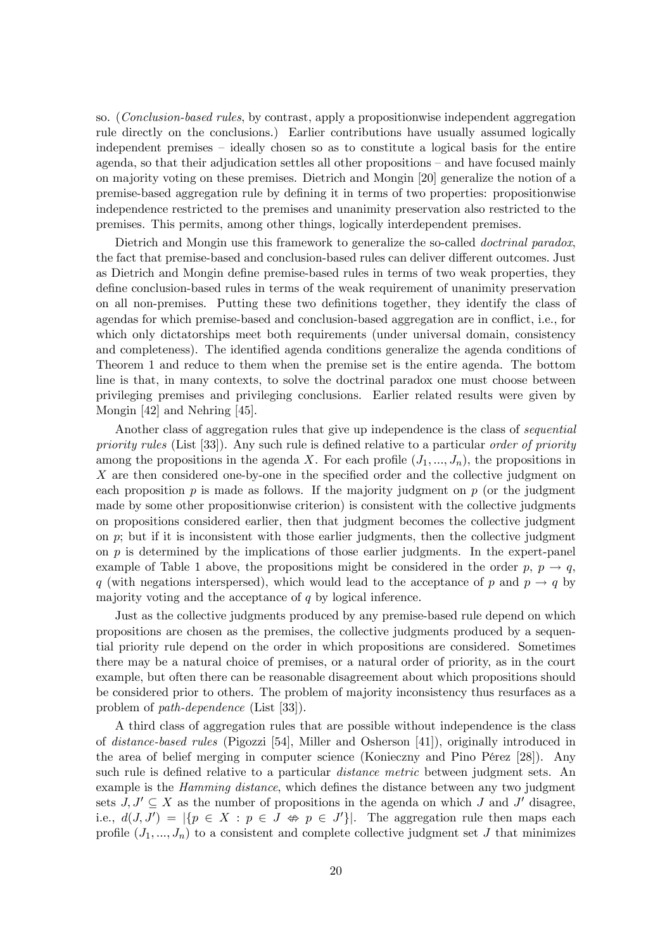so. (Conclusion-based rules, by contrast, apply a propositionwise independent aggregation rule directly on the conclusions.) Earlier contributions have usually assumed logically independent premises – ideally chosen so as to constitute a logical basis for the entire agenda, so that their adjudication settles all other propositions – and have focused mainly on majority voting on these premises. Dietrich and Mongin [20] generalize the notion of a premise-based aggregation rule by defining it in terms of two properties: propositionwise independence restricted to the premises and unanimity preservation also restricted to the premises. This permits, among other things, logically interdependent premises.

Dietrich and Mongin use this framework to generalize the so-called *doctrinal paradox*, the fact that premise-based and conclusion-based rules can deliver different outcomes. Just as Dietrich and Mongin define premise-based rules in terms of two weak properties, they define conclusion-based rules in terms of the weak requirement of unanimity preservation on all non-premises. Putting these two definitions together, they identify the class of agendas for which premise-based and conclusion-based aggregation are in conflict, i.e., for which only dictatorships meet both requirements (under universal domain, consistency and completeness). The identified agenda conditions generalize the agenda conditions of Theorem 1 and reduce to them when the premise set is the entire agenda. The bottom line is that, in many contexts, to solve the doctrinal paradox one must choose between privileging premises and privileging conclusions. Earlier related results were given by Mongin [42] and Nehring [45].

Another class of aggregation rules that give up independence is the class of *sequential* priority rules (List [33]). Any such rule is defined relative to a particular order of priority among the propositions in the agenda X. For each profile  $(J_1, ..., J_n)$ , the propositions in  $X$  are then considered one-by-one in the specified order and the collective judgment on each proposition  $p$  is made as follows. If the majority judgment on  $p$  (or the judgment made by some other propositionwise criterion) is consistent with the collective judgments on propositions considered earlier, then that judgment becomes the collective judgment on  $p$ ; but if it is inconsistent with those earlier judgments, then the collective judgment on  $p$  is determined by the implications of those earlier judgments. In the expert-panel example of Table 1 above, the propositions might be considered in the order  $p, p \rightarrow q$ , q (with negations interspersed), which would lead to the acceptance of p and  $p \rightarrow q$  by majority voting and the acceptance of  $q$  by logical inference.

Just as the collective judgments produced by any premise-based rule depend on which propositions are chosen as the premises, the collective judgments produced by a sequential priority rule depend on the order in which propositions are considered. Sometimes there may be a natural choice of premises, or a natural order of priority, as in the court example, but often there can be reasonable disagreement about which propositions should be considered prior to others. The problem of majority inconsistency thus resurfaces as a problem of path-dependence (List [33]).

A third class of aggregation rules that are possible without independence is the class of distance-based rules (Pigozzi [54], Miller and Osherson [41]), originally introduced in the area of belief merging in computer science (Konieczny and Pino Pérez [28]). Any such rule is defined relative to a particular *distance metric* between judgment sets. An example is the *Hamming distance*, which defines the distance between any two judgment sets  $J, J' \subseteq X$  as the number of propositions in the agenda on which J and J' disagree, i.e.,  $d(J, J') = |\{p \in X : p \in J \Leftrightarrow p \in J'\}|$ . The aggregation rule then maps each profile  $(J_1, ..., J_n)$  to a consistent and complete collective judgment set J that minimizes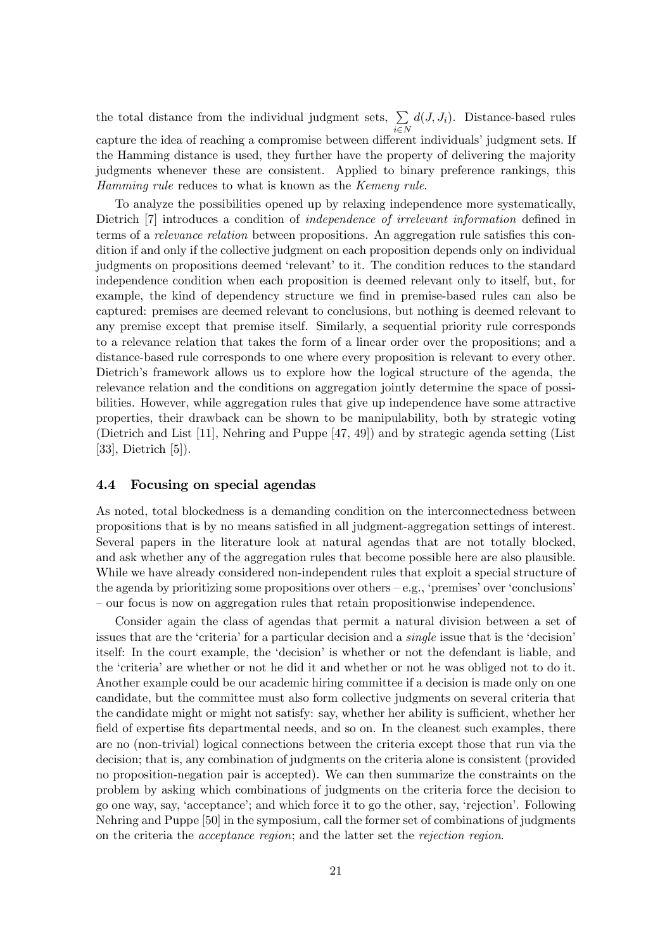the total distance from the individual judgment sets,  $\Sigma$  $i\in\mathbb{N}$  $d(J, J_i)$ . Distance-based rules capture the idea of reaching a compromise between different individuals' judgment sets. If the Hamming distance is used, they further have the property of delivering the majority judgments whenever these are consistent. Applied to binary preference rankings, this Hamming rule reduces to what is known as the Kemeny rule.

To analyze the possibilities opened up by relaxing independence more systematically, Dietrich [7] introduces a condition of *independence of irrelevant information* defined in terms of a *relevance relation* between propositions. An aggregation rule satisfies this condition if and only if the collective judgment on each proposition depends only on individual judgments on propositions deemed 'relevant' to it. The condition reduces to the standard independence condition when each proposition is deemed relevant only to itself, but, for example, the kind of dependency structure we find in premise-based rules can also be captured: premises are deemed relevant to conclusions, but nothing is deemed relevant to any premise except that premise itself. Similarly, a sequential priority rule corresponds to a relevance relation that takes the form of a linear order over the propositions; and a distance-based rule corresponds to one where every proposition is relevant to every other. Dietrich's framework allows us to explore how the logical structure of the agenda, the relevance relation and the conditions on aggregation jointly determine the space of possibilities. However, while aggregation rules that give up independence have some attractive properties, their drawback can be shown to be manipulability, both by strategic voting (Dietrich and List [11], Nehring and Puppe [47, 49]) and by strategic agenda setting (List [33], Dietrich [5]).

#### 4.4 Focusing on special agendas

As noted, total blockedness is a demanding condition on the interconnectedness between propositions that is by no means satisÖed in all judgment-aggregation settings of interest. Several papers in the literature look at natural agendas that are not totally blocked, and ask whether any of the aggregation rules that become possible here are also plausible. While we have already considered non-independent rules that exploit a special structure of the agenda by prioritizing some propositions over others  $-e.g.,$  'premises' over 'conclusions' – our focus is now on aggregation rules that retain propositionwise independence.

Consider again the class of agendas that permit a natural division between a set of issues that are the 'criteria' for a particular decision and a *single* issue that is the 'decision' itself: In the court example, the 'decision' is whether or not the defendant is liable, and the 'criteria' are whether or not he did it and whether or not he was obliged not to do it. Another example could be our academic hiring committee if a decision is made only on one candidate, but the committee must also form collective judgments on several criteria that the candidate might or might not satisfy: say, whether her ability is sufficient, whether her field of expertise fits departmental needs, and so on. In the cleanest such examples, there are no (non-trivial) logical connections between the criteria except those that run via the decision; that is, any combination of judgments on the criteria alone is consistent (provided no proposition-negation pair is accepted). We can then summarize the constraints on the problem by asking which combinations of judgments on the criteria force the decision to go one way, say, ëacceptanceí; and which force it to go the other, say, ërejectioní. Following Nehring and Puppe [50] in the symposium, call the former set of combinations of judgments on the criteria the acceptance region; and the latter set the rejection region.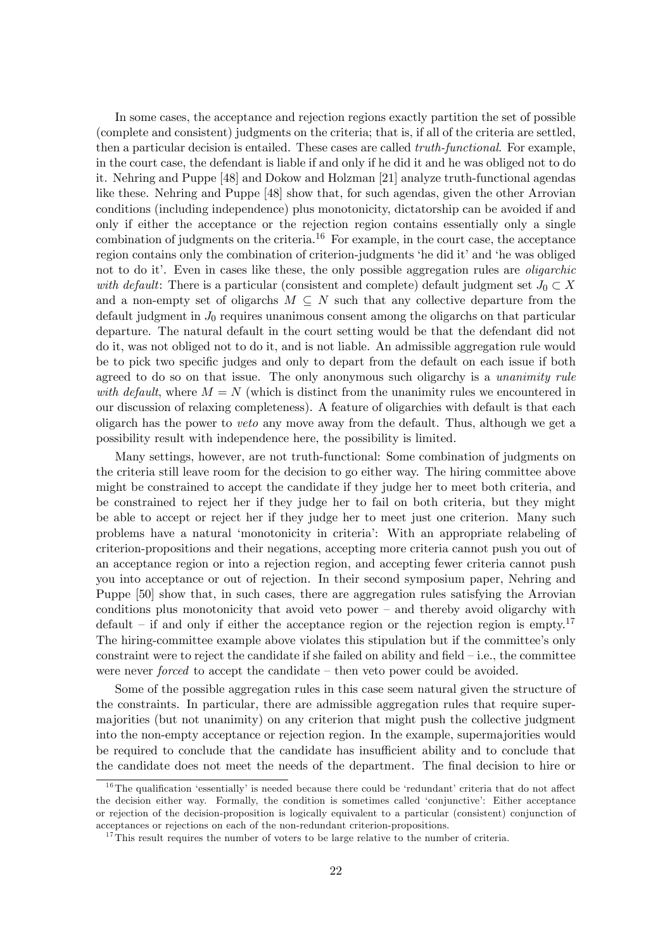In some cases, the acceptance and rejection regions exactly partition the set of possible (complete and consistent) judgments on the criteria; that is, if all of the criteria are settled, then a particular decision is entailed. These cases are called *truth-functional*. For example, in the court case, the defendant is liable if and only if he did it and he was obliged not to do it. Nehring and Puppe [48] and Dokow and Holzman [21] analyze truth-functional agendas like these. Nehring and Puppe [48] show that, for such agendas, given the other Arrovian conditions (including independence) plus monotonicity, dictatorship can be avoided if and only if either the acceptance or the rejection region contains essentially only a single combination of judgments on the criteria.<sup>16</sup> For example, in the court case, the acceptance region contains only the combination of criterion-judgments 'he did it' and 'he was obliged not to do it. Even in cases like these, the only possible aggregation rules are *oligarchic* with default: There is a particular (consistent and complete) default judgment set  $J_0 \subset X$ and a non-empty set of oligarchs  $M \subseteq N$  such that any collective departure from the default judgment in  $J_0$  requires unanimous consent among the oligarchs on that particular departure. The natural default in the court setting would be that the defendant did not do it, was not obliged not to do it, and is not liable. An admissible aggregation rule would be to pick two specific judges and only to depart from the default on each issue if both agreed to do so on that issue. The only anonymous such oligarchy is a *unanimity rule* with default, where  $M = N$  (which is distinct from the unanimity rules we encountered in our discussion of relaxing completeness). A feature of oligarchies with default is that each oligarch has the power to veto any move away from the default. Thus, although we get a possibility result with independence here, the possibility is limited.

Many settings, however, are not truth-functional: Some combination of judgments on the criteria still leave room for the decision to go either way. The hiring committee above might be constrained to accept the candidate if they judge her to meet both criteria, and be constrained to reject her if they judge her to fail on both criteria, but they might be able to accept or reject her if they judge her to meet just one criterion. Many such problems have a natural ëmonotonicity in criteriaí: With an appropriate relabeling of criterion-propositions and their negations, accepting more criteria cannot push you out of an acceptance region or into a rejection region, and accepting fewer criteria cannot push you into acceptance or out of rejection. In their second symposium paper, Nehring and Puppe [50] show that, in such cases, there are aggregation rules satisfying the Arrovian conditions plus monotonicity that avoid veto power  $-\$  and thereby avoid oligarchy with default – if and only if either the acceptance region or the rejection region is empty.<sup>17</sup> The hiring-committee example above violates this stipulation but if the committeeís only constraint were to reject the candidate if she failed on ability and field  $-i.e.,$  the committee were never *forced* to accept the candidate  $-$  then veto power could be avoided.

Some of the possible aggregation rules in this case seem natural given the structure of the constraints. In particular, there are admissible aggregation rules that require supermajorities (but not unanimity) on any criterion that might push the collective judgment into the non-empty acceptance or rejection region. In the example, supermajorities would be required to conclude that the candidate has insufficient ability and to conclude that the candidate does not meet the needs of the department. The final decision to hire or

 $16$ The qualification 'essentially' is needed because there could be 'redundant' criteria that do not affect the decision either way. Formally, the condition is sometimes called ëconjunctiveí: Either acceptance or rejection of the decision-proposition is logically equivalent to a particular (consistent) conjunction of acceptances or rejections on each of the non-redundant criterion-propositions.

 $17$ This result requires the number of voters to be large relative to the number of criteria.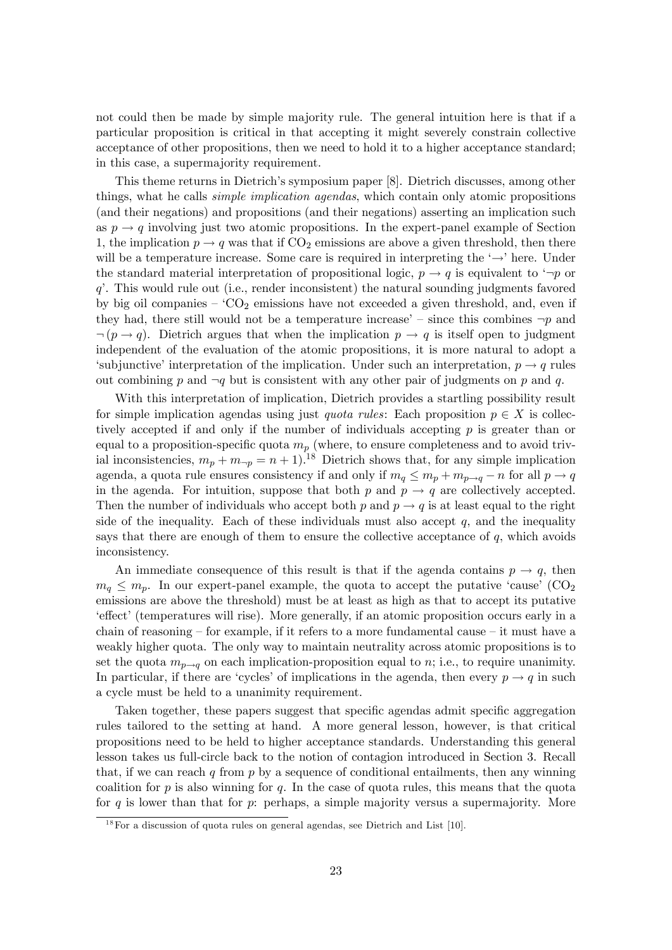not could then be made by simple majority rule. The general intuition here is that if a particular proposition is critical in that accepting it might severely constrain collective acceptance of other propositions, then we need to hold it to a higher acceptance standard; in this case, a supermajority requirement.

This theme returns in Dietrich's symposium paper [8]. Dietrich discusses, among other things, what he calls *simple implication agendas*, which contain only atomic propositions (and their negations) and propositions (and their negations) asserting an implication such as  $p \rightarrow q$  involving just two atomic propositions. In the expert-panel example of Section 1, the implication  $p \rightarrow q$  was that if CO<sub>2</sub> emissions are above a given threshold, then there will be a temperature increase. Some care is required in interpreting the  $\rightarrow$  here. Under the standard material interpretation of propositional logic,  $p \rightarrow q$  is equivalent to  $\neg p$  or  $q'$ . This would rule out (i.e., render inconsistent) the natural sounding judgments favored by big oil companies  $-$  'CO<sub>2</sub> emissions have not exceeded a given threshold, and, even if they had, there still would not be a temperature increase' – since this combines  $\neg p$  and  $\lnot (p \rightarrow q)$ . Dietrich argues that when the implication  $p \rightarrow q$  is itself open to judgment independent of the evaluation of the atomic propositions, it is more natural to adopt a 'subjunctive' interpretation of the implication. Under such an interpretation,  $p \rightarrow q$  rules out combining p and  $\neg q$  but is consistent with any other pair of judgments on p and q.

With this interpretation of implication, Dietrich provides a startling possibility result for simple implication agendas using just *quota rules*: Each proposition  $p \in X$  is collectively accepted if and only if the number of individuals accepting  $p$  is greater than or equal to a proposition-specific quota  $m_p$  (where, to ensure completeness and to avoid trivial inconsistencies,  $m_p + m_{\neg p} = n + 1$ .<sup>18</sup> Dietrich shows that, for any simple implication agenda, a quota rule ensures consistency if and only if  $m_q \le m_p + m_{p \to q} - n$  for all  $p \to q$ in the agenda. For intuition, suppose that both p and  $p \rightarrow q$  are collectively accepted. Then the number of individuals who accept both p and  $p \rightarrow q$  is at least equal to the right side of the inequality. Each of these individuals must also accept  $q$ , and the inequality says that there are enough of them to ensure the collective acceptance of  $q$ , which avoids inconsistency.

An immediate consequence of this result is that if the agenda contains  $p \to q$ , then  $m_q \leq m_p$ . In our expert-panel example, the quota to accept the putative 'cause' (CO<sub>2</sub>) emissions are above the threshold) must be at least as high as that to accept its putative effect' (temperatures will rise). More generally, if an atomic proposition occurs early in a chain of reasoning  $\sim$  for example, if it refers to a more fundamental cause  $\sim$  it must have a weakly higher quota. The only way to maintain neutrality across atomic propositions is to set the quota  $m_{p\to q}$  on each implication-proposition equal to n; i.e., to require unanimity. In particular, if there are 'cycles' of implications in the agenda, then every  $p \rightarrow q$  in such a cycle must be held to a unanimity requirement.

Taken together, these papers suggest that specific agendas admit specific aggregation rules tailored to the setting at hand. A more general lesson, however, is that critical propositions need to be held to higher acceptance standards. Understanding this general lesson takes us full-circle back to the notion of contagion introduced in Section 3. Recall that, if we can reach q from p by a sequence of conditional entailments, then any winning coalition for p is also winning for q. In the case of quota rules, this means that the quota for  $q$  is lower than that for  $p$ : perhaps, a simple majority versus a supermajority. More

 $18$  For a discussion of quota rules on general agendas, see Dietrich and List [10].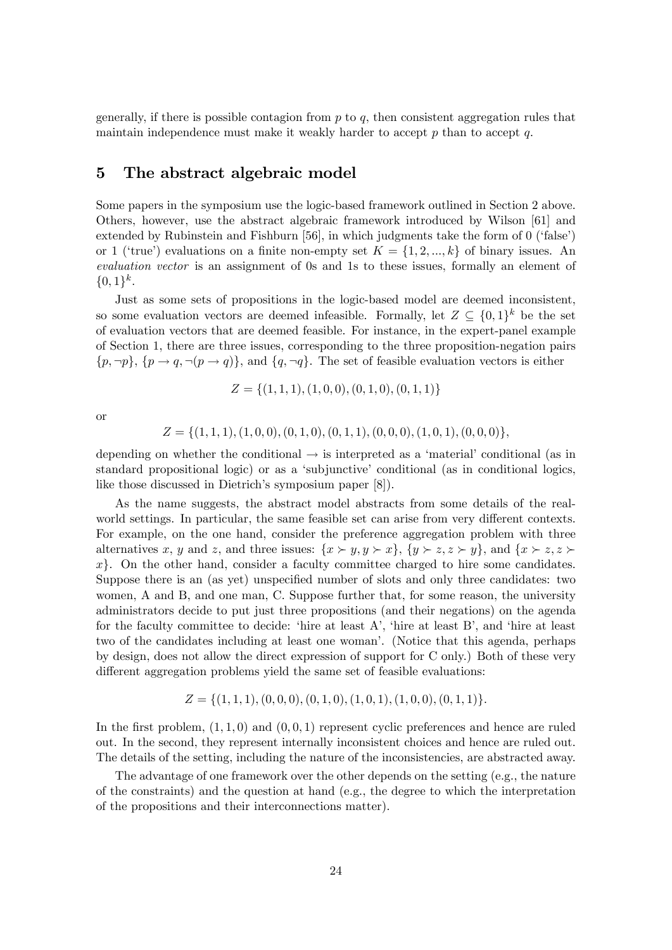generally, if there is possible contagion from  $p$  to  $q$ , then consistent aggregation rules that maintain independence must make it weakly harder to accept p than to accept  $q$ .

# 5 The abstract algebraic model

Some papers in the symposium use the logic-based framework outlined in Section 2 above. Others, however, use the abstract algebraic framework introduced by Wilson [61] and extended by Rubinstein and Fishburn  $[56]$ , in which judgments take the form of 0 ('false') or 1 ('true') evaluations on a finite non-empty set  $K = \{1, 2, ..., k\}$  of binary issues. An evaluation vector is an assignment of 0s and 1s to these issues, formally an element of  $\{0,1\}^k$ .

Just as some sets of propositions in the logic-based model are deemed inconsistent, so some evaluation vectors are deemed infeasible. Formally, let  $Z \subseteq \{0,1\}^k$  be the set of evaluation vectors that are deemed feasible. For instance, in the expert-panel example of Section 1, there are three issues, corresponding to the three proposition-negation pairs  $\{p, \neg p\}, \{p \rightarrow q, \neg(p \rightarrow q)\},\$ and  $\{q, \neg q\}.$  The set of feasible evaluation vectors is either

$$
Z = \{(1, 1, 1), (1, 0, 0), (0, 1, 0), (0, 1, 1)\}
$$

or

$$
Z = \{(1,1,1), (1,0,0), (0,1,0), (0,1,1), (0,0,0), (1,0,1), (0,0,0)\},\
$$

depending on whether the conditional  $\rightarrow$  is interpreted as a 'material' conditional (as in standard propositional logic) or as a 'subjunctive' conditional (as in conditional logics, like those discussed in Dietrich's symposium paper [8]).

As the name suggests, the abstract model abstracts from some details of the realworld settings. In particular, the same feasible set can arise from very different contexts. For example, on the one hand, consider the preference aggregation problem with three alternatives x, y and z, and three issues:  $\{x \succ y, y \succ x\}$ ,  $\{y \succ z, z \succ y\}$ , and  $\{x \succ z, z \succ y\}$  $x$ . On the other hand, consider a faculty committee charged to hire some candidates. Suppose there is an (as yet) unspecified number of slots and only three candidates: two women, A and B, and one man, C. Suppose further that, for some reason, the university administrators decide to put just three propositions (and their negations) on the agenda for the faculty committee to decide: 'hire at least A', 'hire at least B', and 'hire at least two of the candidates including at least one woman'. (Notice that this agenda, perhaps by design, does not allow the direct expression of support for C only.) Both of these very different aggregation problems yield the same set of feasible evaluations:

$$
Z = \{(1,1,1), (0,0,0), (0,1,0), (1,0,1), (1,0,0), (0,1,1)\}.
$$

In the first problem,  $(1, 1, 0)$  and  $(0, 0, 1)$  represent cyclic preferences and hence are ruled out. In the second, they represent internally inconsistent choices and hence are ruled out. The details of the setting, including the nature of the inconsistencies, are abstracted away.

The advantage of one framework over the other depends on the setting (e.g., the nature of the constraints) and the question at hand (e.g., the degree to which the interpretation of the propositions and their interconnections matter).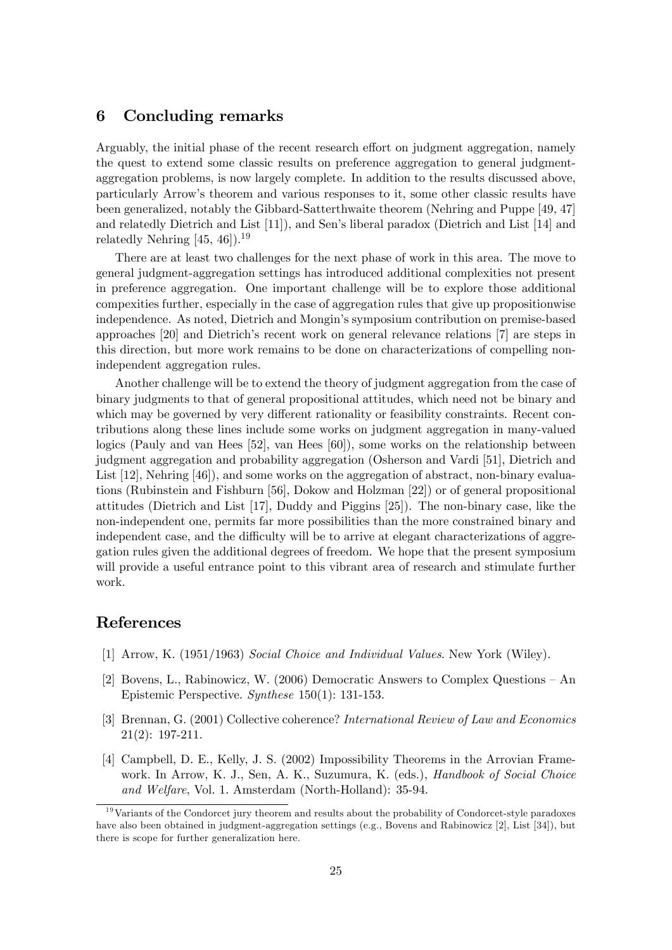# 6 Concluding remarks

Arguably, the initial phase of the recent research effort on judgment aggregation, namely the quest to extend some classic results on preference aggregation to general judgmentaggregation problems, is now largely complete. In addition to the results discussed above, particularly Arrowís theorem and various responses to it, some other classic results have been generalized, notably the Gibbard-Satterthwaite theorem (Nehring and Puppe [49, 47] and relatedly Dietrich and List [11]), and Sen's liberal paradox (Dietrich and List [14] and relatedly Nehring  $[45, 46]$ .<sup>19</sup>

There are at least two challenges for the next phase of work in this area. The move to general judgment-aggregation settings has introduced additional complexities not present in preference aggregation. One important challenge will be to explore those additional compexities further, especially in the case of aggregation rules that give up propositionwise independence. As noted, Dietrich and Mongin's symposium contribution on premise-based approaches  $[20]$  and Dietrich's recent work on general relevance relations  $[7]$  are steps in this direction, but more work remains to be done on characterizations of compelling nonindependent aggregation rules.

Another challenge will be to extend the theory of judgment aggregation from the case of binary judgments to that of general propositional attitudes, which need not be binary and which may be governed by very different rationality or feasibility constraints. Recent contributions along these lines include some works on judgment aggregation in many-valued logics (Pauly and van Hees [52], van Hees [60]), some works on the relationship between judgment aggregation and probability aggregation (Osherson and Vardi [51], Dietrich and List [12], Nehring [46]), and some works on the aggregation of abstract, non-binary evaluations (Rubinstein and Fishburn [56], Dokow and Holzman [22]) or of general propositional attitudes (Dietrich and List [17], Duddy and Piggins [25]). The non-binary case, like the non-independent one, permits far more possibilities than the more constrained binary and independent case, and the difficulty will be to arrive at elegant characterizations of aggregation rules given the additional degrees of freedom. We hope that the present symposium will provide a useful entrance point to this vibrant area of research and stimulate further work.

# References

- [1] Arrow, K. (1951/1963) Social Choice and Individual Values. New York (Wiley).
- [2] Bovens, L., Rabinowicz, W. (2006) Democratic Answers to Complex Questions  $-$  An Epistemic Perspective. Synthese 150(1): 131-153.
- [3] Brennan, G. (2001) Collective coherence? International Review of Law and Economics 21(2): 197-211.
- [4] Campbell, D. E., Kelly, J. S. (2002) Impossibility Theorems in the Arrovian Framework. In Arrow, K. J., Sen, A. K., Suzumura, K. (eds.), *Handbook of Social Choice* and Welfare, Vol. 1. Amsterdam (North-Holland): 35-94.

<sup>&</sup>lt;sup>19</sup>Variants of the Condorcet jury theorem and results about the probability of Condorcet-style paradoxes have also been obtained in judgment-aggregation settings (e.g., Bovens and Rabinowicz [2], List [34]), but there is scope for further generalization here.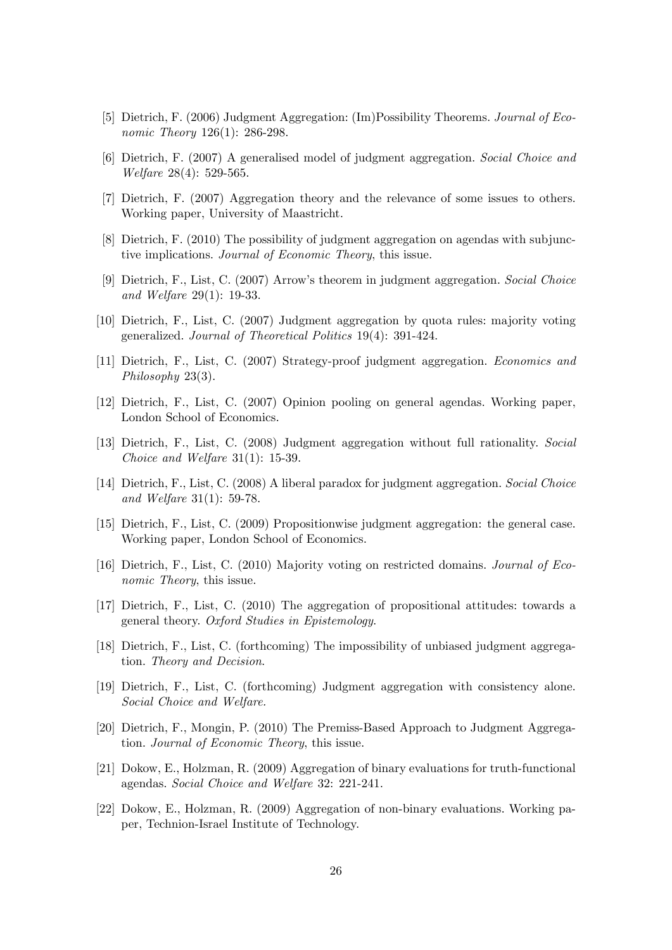- [5] Dietrich, F. (2006) Judgment Aggregation: (Im)Possibility Theorems. Journal of Economic Theory 126(1): 286-298.
- [6] Dietrich, F. (2007) A generalised model of judgment aggregation. Social Choice and Welfare 28(4): 529-565.
- [7] Dietrich, F. (2007) Aggregation theory and the relevance of some issues to others. Working paper, University of Maastricht.
- [8] Dietrich, F. (2010) The possibility of judgment aggregation on agendas with subjunctive implications. Journal of Economic Theory, this issue.
- [9] Dietrich, F., List, C. (2007) Arrowís theorem in judgment aggregation. Social Choice and Welfare 29(1): 19-33.
- [10] Dietrich, F., List, C. (2007) Judgment aggregation by quota rules: majority voting generalized. Journal of Theoretical Politics 19(4): 391-424.
- [11] Dietrich, F., List, C. (2007) Strategy-proof judgment aggregation. Economics and Philosophy 23(3).
- [12] Dietrich, F., List, C. (2007) Opinion pooling on general agendas. Working paper, London School of Economics.
- [13] Dietrich, F., List, C. (2008) Judgment aggregation without full rationality. Social Choice and Welfare 31(1): 15-39.
- [14] Dietrich, F., List, C. (2008) A liberal paradox for judgment aggregation. Social Choice and Welfare 31(1): 59-78.
- [15] Dietrich, F., List, C. (2009) Propositionwise judgment aggregation: the general case. Working paper, London School of Economics.
- [16] Dietrich, F., List, C. (2010) Majority voting on restricted domains. Journal of Economic Theory, this issue.
- [17] Dietrich, F., List, C. (2010) The aggregation of propositional attitudes: towards a general theory. Oxford Studies in Epistemology.
- [18] Dietrich, F., List, C. (forthcoming) The impossibility of unbiased judgment aggregation. Theory and Decision.
- [19] Dietrich, F., List, C. (forthcoming) Judgment aggregation with consistency alone. Social Choice and Welfare.
- [20] Dietrich, F., Mongin, P. (2010) The Premiss-Based Approach to Judgment Aggregation. Journal of Economic Theory, this issue.
- [21] Dokow, E., Holzman, R. (2009) Aggregation of binary evaluations for truth-functional agendas. Social Choice and Welfare 32: 221-241.
- [22] Dokow, E., Holzman, R. (2009) Aggregation of non-binary evaluations. Working paper, Technion-Israel Institute of Technology.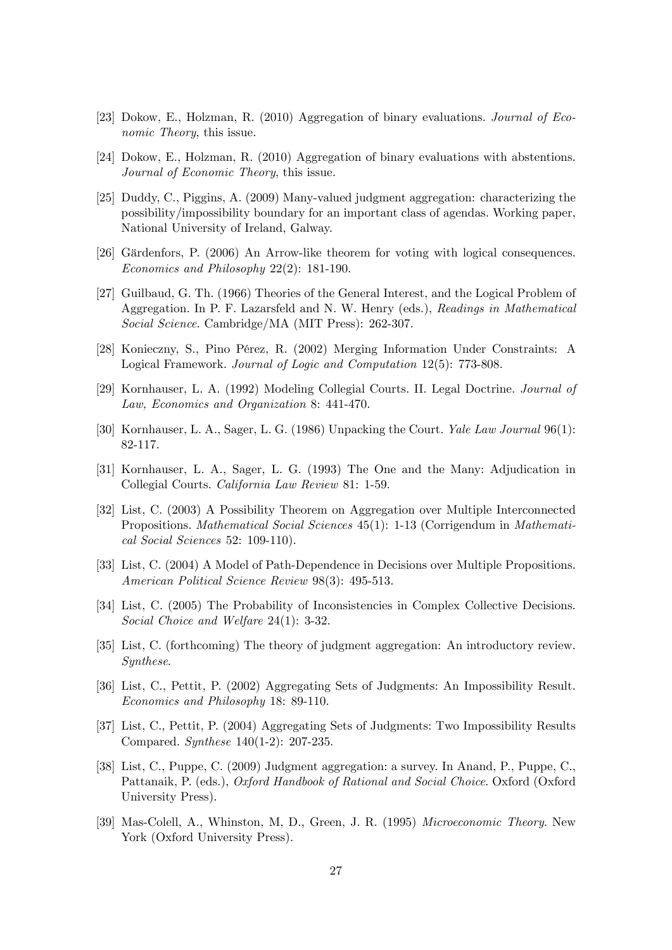- [23] Dokow, E., Holzman, R. (2010) Aggregation of binary evaluations. Journal of Economic Theory, this issue.
- [24] Dokow, E., Holzman, R. (2010) Aggregation of binary evaluations with abstentions. Journal of Economic Theory, this issue.
- [25] Duddy, C., Piggins, A. (2009) Many-valued judgment aggregation: characterizing the possibility/impossibility boundary for an important class of agendas. Working paper, National University of Ireland, Galway.
- [26] Gärdenfors, P. (2006) An Arrow-like theorem for voting with logical consequences. Economics and Philosophy 22(2): 181-190.
- [27] Guilbaud, G. Th. (1966) Theories of the General Interest, and the Logical Problem of Aggregation. In P. F. Lazarsfeld and N. W. Henry (eds.), Readings in Mathematical Social Science. Cambridge/MA (MIT Press): 262-307.
- [28] Konieczny, S., Pino PÈrez, R. (2002) Merging Information Under Constraints: A Logical Framework. Journal of Logic and Computation 12(5): 773-808.
- [29] Kornhauser, L. A. (1992) Modeling Collegial Courts. II. Legal Doctrine. Journal of Law, Economics and Organization 8: 441-470.
- [30] Kornhauser, L. A., Sager, L. G. (1986) Unpacking the Court. Yale Law Journal 96(1): 82-117.
- [31] Kornhauser, L. A., Sager, L. G. (1993) The One and the Many: Adjudication in Collegial Courts. California Law Review 81: 1-59.
- [32] List, C. (2003) A Possibility Theorem on Aggregation over Multiple Interconnected Propositions. Mathematical Social Sciences 45(1): 1-13 (Corrigendum in Mathematical Social Sciences 52: 109-110).
- [33] List, C. (2004) A Model of Path-Dependence in Decisions over Multiple Propositions. American Political Science Review 98(3): 495-513.
- [34] List, C. (2005) The Probability of Inconsistencies in Complex Collective Decisions. Social Choice and Welfare 24(1): 3-32.
- [35] List, C. (forthcoming) The theory of judgment aggregation: An introductory review. Synthese.
- [36] List, C., Pettit, P. (2002) Aggregating Sets of Judgments: An Impossibility Result. Economics and Philosophy 18: 89-110.
- [37] List, C., Pettit, P. (2004) Aggregating Sets of Judgments: Two Impossibility Results Compared. Synthese 140(1-2): 207-235.
- [38] List, C., Puppe, C. (2009) Judgment aggregation: a survey. In Anand, P., Puppe, C., Pattanaik, P. (eds.), Oxford Handbook of Rational and Social Choice. Oxford (Oxford University Press).
- [39] Mas-Colell, A., Whinston, M, D., Green, J. R. (1995) Microeconomic Theory. New York (Oxford University Press).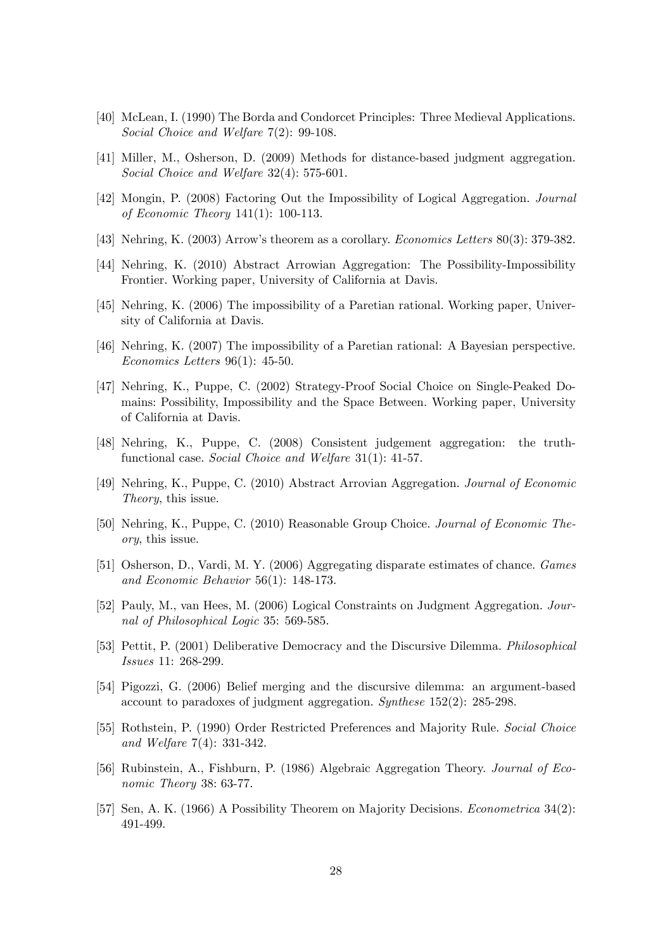- [40] McLean, I. (1990) The Borda and Condorcet Principles: Three Medieval Applications. Social Choice and Welfare 7(2): 99-108.
- [41] Miller, M., Osherson, D. (2009) Methods for distance-based judgment aggregation. Social Choice and Welfare 32(4): 575-601.
- [42] Mongin, P. (2008) Factoring Out the Impossibility of Logical Aggregation. Journal of Economic Theory 141(1): 100-113.
- [43] Nehring, K. (2003) Arrow's theorem as a corollary. *Economics Letters* 80(3): 379-382.
- [44] Nehring, K. (2010) Abstract Arrowian Aggregation: The Possibility-Impossibility Frontier. Working paper, University of California at Davis.
- [45] Nehring, K. (2006) The impossibility of a Paretian rational. Working paper, University of California at Davis.
- [46] Nehring, K. (2007) The impossibility of a Paretian rational: A Bayesian perspective. Economics Letters 96(1): 45-50.
- [47] Nehring, K., Puppe, C. (2002) Strategy-Proof Social Choice on Single-Peaked Domains: Possibility, Impossibility and the Space Between. Working paper, University of California at Davis.
- [48] Nehring, K., Puppe, C. (2008) Consistent judgement aggregation: the truthfunctional case. Social Choice and Welfare 31(1): 41-57.
- [49] Nehring, K., Puppe, C. (2010) Abstract Arrovian Aggregation. Journal of Economic Theory, this issue.
- [50] Nehring, K., Puppe, C. (2010) Reasonable Group Choice. Journal of Economic Theory, this issue.
- [51] Osherson, D., Vardi, M. Y. (2006) Aggregating disparate estimates of chance. Games and Economic Behavior 56(1): 148-173.
- [52] Pauly, M., van Hees, M. (2006) Logical Constraints on Judgment Aggregation. Journal of Philosophical Logic 35: 569-585.
- [53] Pettit, P. (2001) Deliberative Democracy and the Discursive Dilemma. Philosophical Issues 11: 268-299.
- [54] Pigozzi, G. (2006) Belief merging and the discursive dilemma: an argument-based account to paradoxes of judgment aggregation. Synthese 152(2): 285-298.
- [55] Rothstein, P. (1990) Order Restricted Preferences and Majority Rule. Social Choice and Welfare 7(4): 331-342.
- [56] Rubinstein, A., Fishburn, P. (1986) Algebraic Aggregation Theory. Journal of Economic Theory 38: 63-77.
- [57] Sen, A. K. (1966) A Possibility Theorem on Majority Decisions. Econometrica 34(2): 491-499.